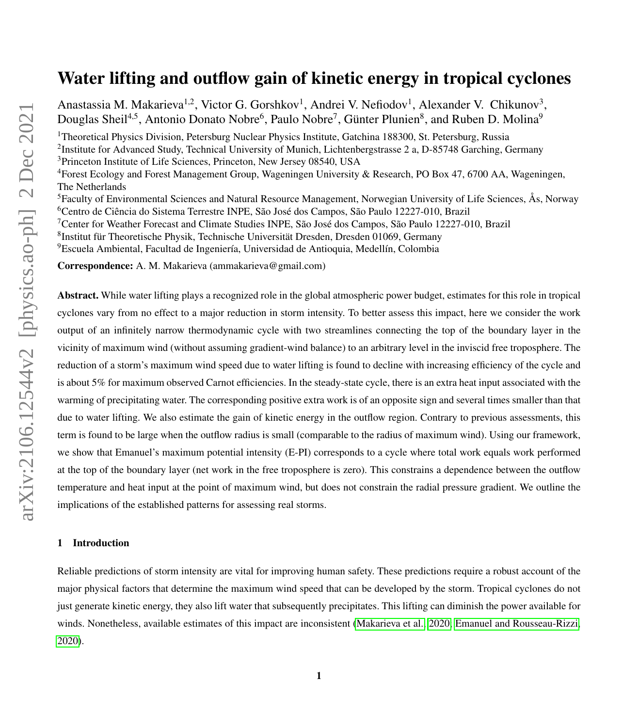# Water lifting and outflow gain of kinetic energy in tropical cyclones

Anastassia M. Makarieva<sup>1,2</sup>, Victor G. Gorshkov<sup>1</sup>, Andrei V. Nefiodov<sup>1</sup>, Alexander V. Chikunov<sup>3</sup>, Douglas Sheil<sup>4,5</sup>, Antonio Donato Nobre<sup>6</sup>, Paulo Nobre<sup>7</sup>, Günter Plunien<sup>8</sup>, and Ruben D. Molina<sup>9</sup> <sup>1</sup>Theoretical Physics Division, Petersburg Nuclear Physics Institute, Gatchina 188300, St. Petersburg, Russia <sup>2</sup>Institute for Advanced Study, Technical University of Munich, Lichtenbergstrasse 2 a, D-85748 Garching, Germany <sup>3</sup>Princeton Institute of Life Sciences, Princeton, New Jersey 08540, USA <sup>4</sup>Forest Ecology and Forest Management Group, Wageningen University & Research, PO Box 47, 6700 AA, Wageningen, The Netherlands <sup>5</sup>Faculty of Environmental Sciences and Natural Resource Management, Norwegian University of Life Sciences, Ås, Norway <sup>6</sup>Centro de Ciência do Sistema Terrestre INPE, São José dos Campos, São Paulo 12227-010, Brazil <sup>7</sup>Center for Weather Forecast and Climate Studies INPE, São José dos Campos, São Paulo 12227-010, Brazil 8 Institut für Theoretische Physik, Technische Universität Dresden, Dresden 01069, Germany <sup>9</sup>Escuela Ambiental, Facultad de Ingeniería, Universidad de Antioquia, Medellín, Colombia Correspondence: A. M. Makarieva (ammakarieva@gmail.com)

Abstract. While water lifting plays a recognized role in the global atmospheric power budget, estimates for this role in tropical cyclones vary from no effect to a major reduction in storm intensity. To better assess this impact, here we consider the work output of an infinitely narrow thermodynamic cycle with two streamlines connecting the top of the boundary layer in the vicinity of maximum wind (without assuming gradient-wind balance) to an arbitrary level in the inviscid free troposphere. The reduction of a storm's maximum wind speed due to water lifting is found to decline with increasing efficiency of the cycle and is about 5% for maximum observed Carnot efficiencies. In the steady-state cycle, there is an extra heat input associated with the warming of precipitating water. The corresponding positive extra work is of an opposite sign and several times smaller than that due to water lifting. We also estimate the gain of kinetic energy in the outflow region. Contrary to previous assessments, this term is found to be large when the outflow radius is small (comparable to the radius of maximum wind). Using our framework, we show that Emanuel's maximum potential intensity (E-PI) corresponds to a cycle where total work equals work performed at the top of the boundary layer (net work in the free troposphere is zero). This constrains a dependence between the outflow temperature and heat input at the point of maximum wind, but does not constrain the radial pressure gradient. We outline the implications of the established patterns for assessing real storms.

## 1 Introduction

Reliable predictions of storm intensity are vital for improving human safety. These predictions require a robust account of the major physical factors that determine the maximum wind speed that can be developed by the storm. Tropical cyclones do not just generate kinetic energy, they also lift water that subsequently precipitates. This lifting can diminish the power available for winds. Nonetheless, available estimates of this impact are inconsistent [\(Makarieva et al., 2020;](#page-33-0) [Emanuel and Rousseau-Rizzi,](#page-32-0) [2020\)](#page-32-0).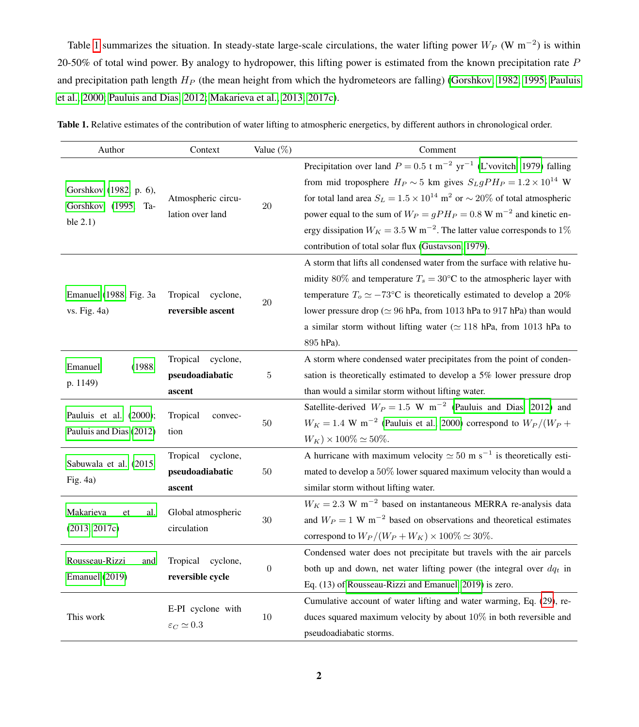Table [1](#page-1-0) summarizes the situation. In steady-state large-scale circulations, the water lifting power  $W_P$  (W m<sup>-2</sup>) is within 20-50% of total wind power. By analogy to hydropower, this lifting power is estimated from the known precipitation rate  $P$ and precipitation path length  $H_P$  (the mean height from which the hydrometeors are falling) [\(Gorshkov, 1982,](#page-32-1) [1995;](#page-32-2) [Pauluis](#page-34-0) [et al., 2000;](#page-34-0) [Pauluis and Dias, 2012;](#page-34-1) [Makarieva et al., 2013,](#page-33-1) [2017c\)](#page-33-2).

| Author                                                       | Context                                           | Value (%)<br>Comment |                                                                                                                                                                                                                                                                                                                                                                                                                                                                                                                          |  |  |  |
|--------------------------------------------------------------|---------------------------------------------------|----------------------|--------------------------------------------------------------------------------------------------------------------------------------------------------------------------------------------------------------------------------------------------------------------------------------------------------------------------------------------------------------------------------------------------------------------------------------------------------------------------------------------------------------------------|--|--|--|
| Gorshkov (1982, p. 6),<br>Gorshkov (1995, Ta-<br>ble $2.1$ ) | Atmospheric circu-<br>lation over land            | $20\,$               | Precipitation over land $P = 0.5$ t m <sup>-2</sup> yr <sup>-1</sup> (L'vovitch, 1979) falling<br>from mid troposphere $H_P \sim 5$ km gives $S_L g P H_P = 1.2 \times 10^{14}$ W<br>for total land area $S_L = 1.5 \times 10^{14}$ m <sup>2</sup> or $\sim 20\%$ of total atmospheric<br>power equal to the sum of $W_P = gP H_P = 0.8$ W m <sup>-2</sup> and kinetic en-<br>ergy dissipation $W_K = 3.5$ W m <sup>-2</sup> . The latter value corresponds to 1%<br>contribution of total solar flux (Gustavson, 1979). |  |  |  |
| Emanuel (1988, Fig. 3a<br>vs. Fig. 4a)                       | Tropical<br>cyclone,<br>reversible ascent         | 20                   | A storm that lifts all condensed water from the surface with relative hu-<br>midity 80% and temperature $T_s = 30$ °C to the atmospheric layer with<br>temperature $T_0 \simeq -73$ °C is theoretically estimated to develop a 20%<br>lower pressure drop ( $\simeq 96$ hPa, from 1013 hPa to 917 hPa) than would<br>a similar storm without lifting water ( $\simeq$ 118 hPa, from 1013 hPa to<br>895 hPa).                                                                                                             |  |  |  |
| (1988,<br>Emanuel<br>p. 1149)                                | Tropical<br>cyclone,<br>pseudoadiabatic<br>ascent | $\bf 5$              | A storm where condensed water precipitates from the point of conden-<br>sation is theoretically estimated to develop a 5% lower pressure drop<br>than would a similar storm without lifting water.                                                                                                                                                                                                                                                                                                                       |  |  |  |
| Pauluis et al. (2000);<br>Pauluis and Dias (2012)            | Tropical<br>convec-<br>tion                       | 50                   | Satellite-derived $W_P = 1.5$ W m <sup>-2</sup> (Pauluis and Dias, 2012) and<br>$W_K = 1.4$ W m <sup>-2</sup> (Pauluis et al., 2000) correspond to $W_P/(W_P +$<br>$W_K$ ) × 100% $\simeq$ 50%.                                                                                                                                                                                                                                                                                                                          |  |  |  |
| Sabuwala et al. (2015,<br>Fig. 4a)                           | cyclone,<br>Tropical<br>pseudoadiabatic<br>ascent | $50\,$               | A hurricane with maximum velocity $\simeq 50$ m s <sup>-1</sup> is theoretically esti-<br>mated to develop a 50% lower squared maximum velocity than would a<br>similar storm without lifting water.                                                                                                                                                                                                                                                                                                                     |  |  |  |
| Makarieva<br>al.<br>et<br>(2013, 2017c)                      | Global atmospheric<br>circulation                 | $30\,$               | $W_K = 2.3 \text{ W m}^{-2}$ based on instantaneous MERRA re-analysis data<br>and $W_P = 1 \text{ W m}^{-2}$ based on observations and theoretical estimates<br>correspond to $W_P/(W_P+W_K) \times 100\% \simeq 30\%.$                                                                                                                                                                                                                                                                                                  |  |  |  |
| Rousseau-Rizzi<br>and<br>Emanuel (2019)                      | Tropical<br>cyclone,<br>reversible cycle          | $\boldsymbol{0}$     | Condensed water does not precipitate but travels with the air parcels<br>both up and down, net water lifting power (the integral over $dq_t$ in<br>Eq. (13) of Rousseau-Rizzi and Emanuel, 2019) is zero.                                                                                                                                                                                                                                                                                                                |  |  |  |
| This work                                                    | E-PI cyclone with<br>$\varepsilon_C \simeq 0.3$   | $10\,$               | Cumulative account of water lifting and water warming, Eq. (29), re-<br>duces squared maximum velocity by about $10\%$ in both reversible and<br>pseudoadiabatic storms.                                                                                                                                                                                                                                                                                                                                                 |  |  |  |

<span id="page-1-0"></span>Table 1. Relative estimates of the contribution of water lifting to atmospheric energetics, by different authors in chronological order.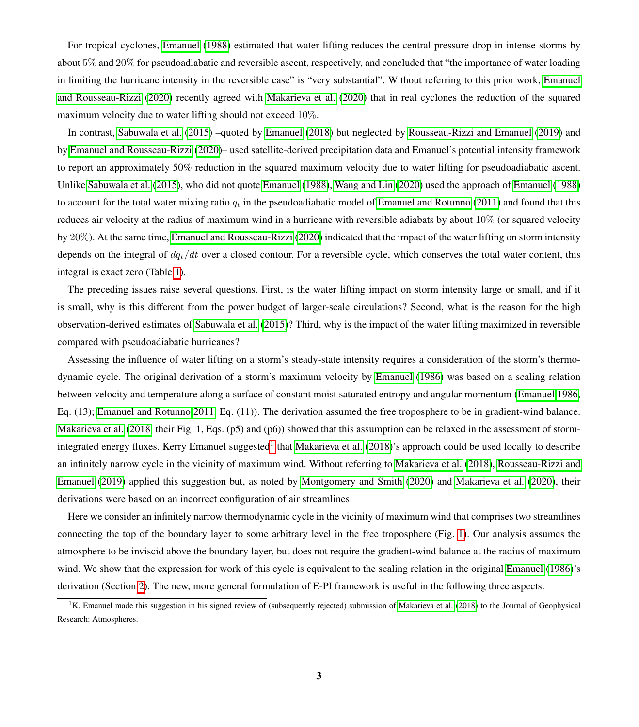For tropical cyclones, [Emanuel](#page-32-4) [\(1988\)](#page-32-4) estimated that water lifting reduces the central pressure drop in intense storms by about 5% and 20% for pseudoadiabatic and reversible ascent, respectively, and concluded that "the importance of water loading in limiting the hurricane intensity in the reversible case" is "very substantial". Without referring to this prior work, [Emanuel](#page-32-0) [and Rousseau-Rizzi](#page-32-0) [\(2020\)](#page-32-0) recently agreed with [Makarieva et al.](#page-33-0) [\(2020\)](#page-33-0) that in real cyclones the reduction of the squared maximum velocity due to water lifting should not exceed 10%.

In contrast, [Sabuwala et al.](#page-34-2) [\(2015\)](#page-34-2) –quoted by [Emanuel](#page-32-5) [\(2018\)](#page-32-5) but neglected by [Rousseau-Rizzi and Emanuel](#page-34-3) [\(2019\)](#page-34-3) and by [Emanuel and Rousseau-Rizzi](#page-32-0) [\(2020\)](#page-32-0)– used satellite-derived precipitation data and Emanuel's potential intensity framework to report an approximately 50% reduction in the squared maximum velocity due to water lifting for pseudoadiabatic ascent. Unlike [Sabuwala et al.](#page-34-2) [\(2015\)](#page-34-2), who did not quote [Emanuel](#page-32-4) [\(1988\)](#page-32-4), [Wang and Lin](#page-34-4) [\(2020\)](#page-34-4) used the approach of [Emanuel](#page-32-4) [\(1988\)](#page-32-4) to account for the total water mixing ratio  $q_t$  in the pseudoadiabatic model of [Emanuel and Rotunno](#page-32-6) [\(2011\)](#page-32-6) and found that this reduces air velocity at the radius of maximum wind in a hurricane with reversible adiabats by about  $10\%$  (or squared velocity by 20%). At the same time, [Emanuel and Rousseau-Rizzi](#page-32-0) [\(2020\)](#page-32-0) indicated that the impact of the water lifting on storm intensity depends on the integral of  $dq_t/dt$  over a closed contour. For a reversible cycle, which conserves the total water content, this integral is exact zero (Table [1\)](#page-1-0).

The preceding issues raise several questions. First, is the water lifting impact on storm intensity large or small, and if it is small, why is this different from the power budget of larger-scale circulations? Second, what is the reason for the high observation-derived estimates of [Sabuwala et al.](#page-34-2) [\(2015\)](#page-34-2)? Third, why is the impact of the water lifting maximized in reversible compared with pseudoadiabatic hurricanes?

Assessing the influence of water lifting on a storm's steady-state intensity requires a consideration of the storm's thermodynamic cycle. The original derivation of a storm's maximum velocity by [Emanuel](#page-32-7) [\(1986\)](#page-32-7) was based on a scaling relation between velocity and temperature along a surface of constant moist saturated entropy and angular momentum [\(Emanuel 1986,](#page-32-7) Eq. (13); [Emanuel and Rotunno 2011,](#page-32-6) Eq. (11)). The derivation assumed the free troposphere to be in gradient-wind balance. [Makarieva et al.](#page-33-4) [\(2018,](#page-33-4) their Fig. 1, Eqs. (p5) and (p6)) showed that this assumption can be relaxed in the assessment of storm-integrated energy fluxes. Kerry Emanuel suggested<sup>[1](#page-2-0)</sup> that [Makarieva et al.](#page-33-4) [\(2018\)](#page-33-4)'s approach could be used locally to describe an infinitely narrow cycle in the vicinity of maximum wind. Without referring to [Makarieva et al.](#page-33-4) [\(2018\)](#page-33-4), [Rousseau-Rizzi and](#page-34-3) [Emanuel](#page-34-3) [\(2019\)](#page-34-3) applied this suggestion but, as noted by [Montgomery and Smith](#page-33-5) [\(2020\)](#page-33-5) and [Makarieva et al.](#page-33-0) [\(2020\)](#page-33-0), their derivations were based on an incorrect configuration of air streamlines.

Here we consider an infinitely narrow thermodynamic cycle in the vicinity of maximum wind that comprises two streamlines connecting the top of the boundary layer to some arbitrary level in the free troposphere (Fig. [1\)](#page-4-0). Our analysis assumes the atmosphere to be inviscid above the boundary layer, but does not require the gradient-wind balance at the radius of maximum wind. We show that the expression for work of this cycle is equivalent to the scaling relation in the original [Emanuel](#page-32-7) [\(1986\)](#page-32-7)'s derivation (Section [2\)](#page-3-0). The new, more general formulation of E-PI framework is useful in the following three aspects.

<span id="page-2-0"></span><sup>&</sup>lt;sup>1</sup>K. Emanuel made this suggestion in his signed review of (subsequently rejected) submission of [Makarieva et al.](#page-33-4) [\(2018\)](#page-33-4) to the Journal of Geophysical Research: Atmospheres.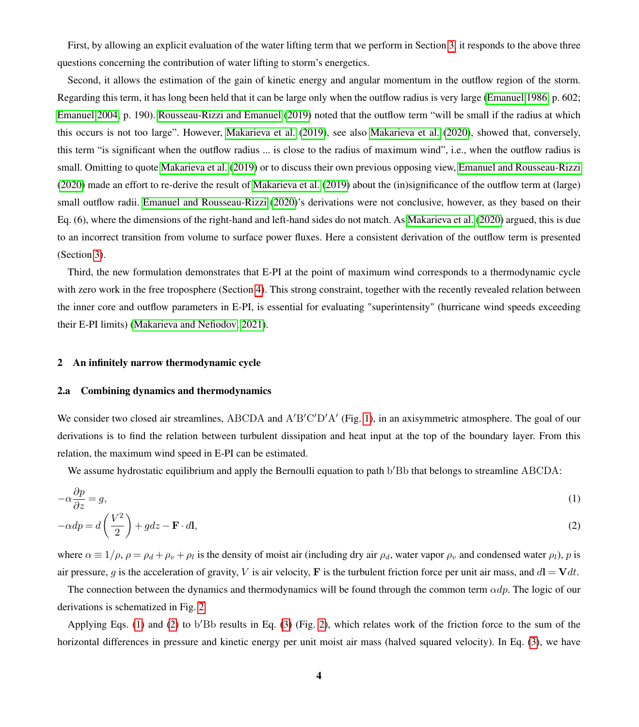First, by allowing an explicit evaluation of the water lifting term that we perform in Section [3,](#page-8-0) it responds to the above three questions concerning the contribution of water lifting to storm's energetics.

Second, it allows the estimation of the gain of kinetic energy and angular momentum in the outflow region of the storm. Regarding this term, it has long been held that it can be large only when the outflow radius is very large [\(Emanuel 1986,](#page-32-7) p. 602; [Emanuel 2004,](#page-32-8) p. 190). [Rousseau-Rizzi and Emanuel](#page-34-3) [\(2019\)](#page-34-3) noted that the outflow term "will be small if the radius at which this occurs is not too large". However, [Makarieva et al.](#page-33-6) [\(2019\)](#page-33-6), see also [Makarieva et al.](#page-33-0) [\(2020\)](#page-33-0), showed that, conversely, this term "is significant when the outflow radius ... is close to the radius of maximum wind", i.e., when the outflow radius is small. Omitting to quote [Makarieva et al.](#page-33-6) [\(2019\)](#page-33-6) or to discuss their own previous opposing view, [Emanuel and Rousseau-Rizzi](#page-32-0) [\(2020\)](#page-32-0) made an effort to re-derive the result of [Makarieva et al.](#page-33-6) [\(2019\)](#page-33-6) about the (in)significance of the outflow term at (large) small outflow radii. [Emanuel and Rousseau-Rizzi](#page-32-0) [\(2020\)](#page-32-0)'s derivations were not conclusive, however, as they based on their Eq. (6), where the dimensions of the right-hand and left-hand sides do not match. As [Makarieva et al.](#page-33-0) [\(2020\)](#page-33-0) argued, this is due to an incorrect transition from volume to surface power fluxes. Here a consistent derivation of the outflow term is presented (Section [3\)](#page-8-0).

Third, the new formulation demonstrates that E-PI at the point of maximum wind corresponds to a thermodynamic cycle with zero work in the free troposphere (Section [4\)](#page-14-0). This strong constraint, together with the recently revealed relation between the inner core and outflow parameters in E-PI, is essential for evaluating "superintensity" (hurricane wind speeds exceeding their E-PI limits) [\(Makarieva and Nefiodov, 2021\)](#page-33-7).

#### <span id="page-3-0"></span>2 An infinitely narrow thermodynamic cycle

#### <span id="page-3-3"></span>2.a Combining dynamics and thermodynamics

We consider two closed air streamlines, ABCDA and A'B'C'D'A' (Fig. [1\)](#page-4-0), in an axisymmetric atmosphere. The goal of our derivations is to find the relation between turbulent dissipation and heat input at the top of the boundary layer. From this relation, the maximum wind speed in E-PI can be estimated.

<span id="page-3-2"></span><span id="page-3-1"></span>We assume hydrostatic equilibrium and apply the Bernoulli equation to path b'Bb that belongs to streamline ABCDA:

$$
-\alpha \frac{\partial p}{\partial z} = g,\tag{1}
$$

$$
-\alpha dp = d\left(\frac{V^2}{2}\right) + gdz - \mathbf{F} \cdot d\mathbf{l},\tag{2}
$$

where  $\alpha \equiv 1/\rho$ ,  $\rho = \rho_d + \rho_v + \rho_l$  is the density of moist air (including dry air  $\rho_d$ , water vapor  $\rho_v$  and condensed water  $\rho_l$ ),  $p$  is air pressure, g is the acceleration of gravity, V is air velocity, F is the turbulent friction force per unit air mass, and  $d\mathbf{l} = \mathbf{V}dt$ .

The connection between the dynamics and thermodynamics will be found through the common term  $\alpha dp$ . The logic of our derivations is schematized in Fig. [2.](#page-5-0)

Applying Eqs. [\(1\)](#page-3-1) and [\(2\)](#page-3-2) to b'Bb results in Eq. [\(3\)](#page-5-1) (Fig. [2\)](#page-5-0), which relates work of the friction force to the sum of the horizontal differences in pressure and kinetic energy per unit moist air mass (halved squared velocity). In Eq. [\(3\)](#page-5-1), we have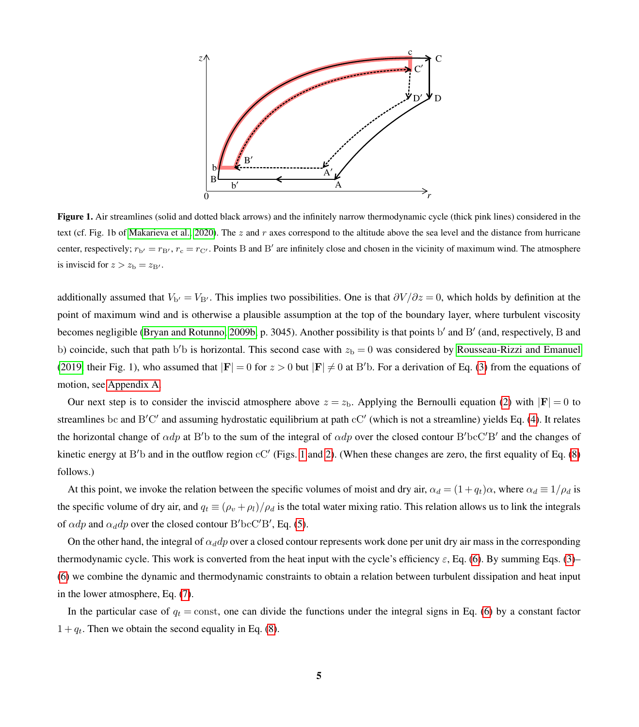<span id="page-4-0"></span>

Figure 1. Air streamlines (solid and dotted black arrows) and the infinitely narrow thermodynamic cycle (thick pink lines) considered in the text (cf. Fig. 1b of [Makarieva et al., 2020\)](#page-33-0). The z and r axes correspond to the altitude above the sea level and the distance from hurricane center, respectively;  $r_{b'} = r_{B'}$ ,  $r_c = r_{C'}$ . Points B and B' are infinitely close and chosen in the vicinity of maximum wind. The atmosphere is inviscid for  $z > z_{\rm b} = z_{\rm B}$ .

additionally assumed that  $V_{b'} = V_{B'}$ . This implies two possibilities. One is that  $\partial V / \partial z = 0$ , which holds by definition at the point of maximum wind and is otherwise a plausible assumption at the top of the boundary layer, where turbulent viscosity becomes negligible [\(Bryan and Rotunno, 2009b,](#page-32-9) p. 3045). Another possibility is that points b' and B' (and, respectively, B and b) coincide, such that path b'b is horizontal. This second case with  $z<sub>b</sub> = 0$  was considered by [Rousseau-Rizzi and Emanuel](#page-34-3) [\(2019,](#page-34-3) their Fig. 1), who assumed that  $|F| = 0$  for  $z > 0$  but  $|F| \neq 0$  at B'b. For a derivation of Eq. [\(3\)](#page-5-1) from the equations of motion, see [Appendix A.](#page-20-0)

Our next step is to consider the inviscid atmosphere above  $z = z<sub>b</sub>$ . Applying the Bernoulli equation [\(2\)](#page-3-2) with  $|F| = 0$  to streamlines bc and B'C' and assuming hydrostatic equilibrium at path cC' (which is not a streamline) yields Eq. [\(4\)](#page-5-2). It relates the horizontal change of  $\alpha dp$  at B'b to the sum of the integral of  $\alpha dp$  over the closed contour B'bcC'B' and the changes of kinetic energy at B'b and in the outflow region  $cC'$  (Figs. [1](#page-4-0) and [2\)](#page-5-0). (When these changes are zero, the first equality of Eq. [\(8\)](#page-5-3) follows.)

At this point, we invoke the relation between the specific volumes of moist and dry air,  $\alpha_d = (1 + q_t)\alpha$ , where  $\alpha_d \equiv 1/\rho_d$  is the specific volume of dry air, and  $q_t \equiv (\rho_v + \rho_l)/\rho_d$  is the total water mixing ratio. This relation allows us to link the integrals of  $\alpha dp$  and  $\alpha_d dp$  over the closed contour B'bcC'B', Eq. [\(5\)](#page-5-4).

On the other hand, the integral of  $\alpha_d dp$  over a closed contour represents work done per unit dry air mass in the corresponding thermodynamic cycle. This work is converted from the heat input with the cycle's efficiency  $\varepsilon$ , Eq. [\(6\)](#page-5-5). By summing Eqs. [\(3\)](#page-5-1)– [\(6\)](#page-5-5) we combine the dynamic and thermodynamic constraints to obtain a relation between turbulent dissipation and heat input in the lower atmosphere, Eq. [\(7\)](#page-5-6).

In the particular case of  $q_t = \text{const}$ , one can divide the functions under the integral signs in Eq. [\(6\)](#page-5-5) by a constant factor  $1 + q_t$ . Then we obtain the second equality in Eq. [\(8\)](#page-5-3).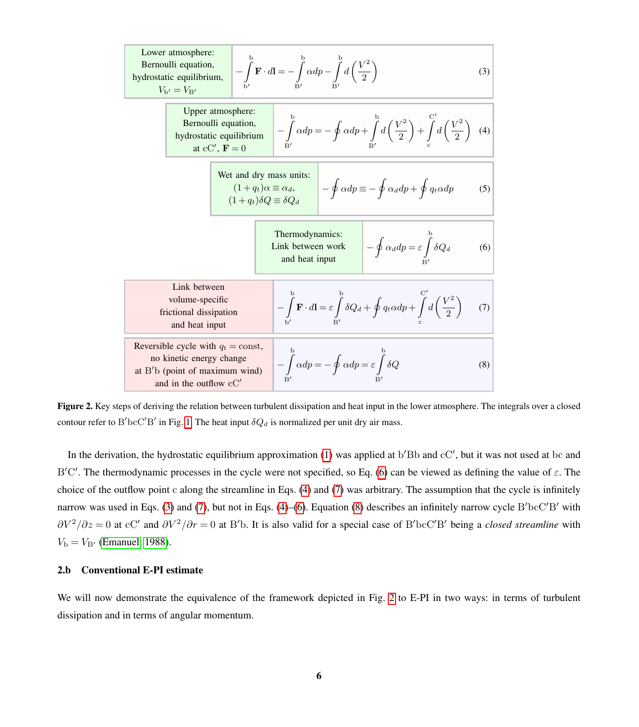<span id="page-5-5"></span><span id="page-5-4"></span><span id="page-5-2"></span><span id="page-5-1"></span><span id="page-5-0"></span>

<span id="page-5-6"></span><span id="page-5-3"></span>Figure 2. Key steps of deriving the relation between turbulent dissipation and heat input in the lower atmosphere. The integrals over a closed contour refer to B'bcC'B' in Fig. [1.](#page-4-0) The heat input  $\delta Q_d$  is normalized per unit dry air mass.

In the derivation, the hydrostatic equilibrium approximation  $(1)$  was applied at  $b'Bb$  and  $cC'$ , but it was not used at  $bc$  and B'C'. The thermodynamic processes in the cycle were not specified, so Eq. [\(6\)](#page-5-5) can be viewed as defining the value of  $\varepsilon$ . The choice of the outflow point c along the streamline in Eqs. [\(4\)](#page-5-2) and [\(7\)](#page-5-6) was arbitrary. The assumption that the cycle is infinitely narrow was used in Eqs. [\(3\)](#page-5-1) and [\(7\)](#page-5-6), but not in Eqs. [\(4\)](#page-5-2)–[\(6\)](#page-5-5). Equation [\(8\)](#page-5-3) describes an infinitely narrow cycle  $B'bcC'B'$  with  $\partial V^2/\partial z = 0$  at cC' and  $\partial V^2/\partial r = 0$  at B'b. It is also valid for a special case of B'bcC'B' being a *closed streamline* with  $V_{\rm b} = V_{\rm B}$ <sup>t</sup> [\(Emanuel, 1988\)](#page-32-4).

#### 2.b Conventional E-PI estimate

We will now demonstrate the equivalence of the framework depicted in Fig. [2](#page-5-0) to E-PI in two ways: in terms of turbulent dissipation and in terms of angular momentum.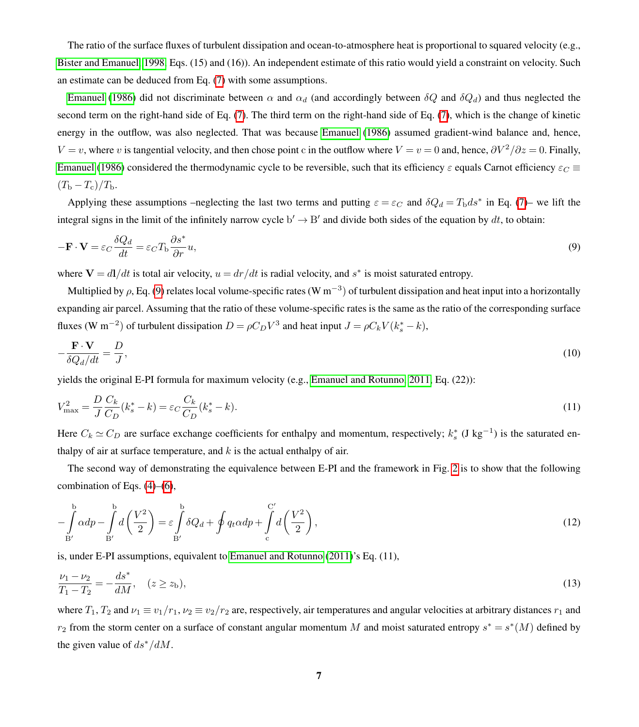The ratio of the surface fluxes of turbulent dissipation and ocean-to-atmosphere heat is proportional to squared velocity (e.g., [Bister and Emanuel, 1998,](#page-32-10) Eqs. (15) and (16)). An independent estimate of this ratio would yield a constraint on velocity. Such an estimate can be deduced from Eq. [\(7\)](#page-5-6) with some assumptions.

[Emanuel](#page-32-7) [\(1986\)](#page-32-7) did not discriminate between  $\alpha$  and  $\alpha_d$  (and accordingly between  $\delta Q$  and  $\delta Q_d$ ) and thus neglected the second term on the right-hand side of Eq. [\(7\)](#page-5-6). The third term on the right-hand side of Eq. [\(7\)](#page-5-6), which is the change of kinetic energy in the outflow, was also neglected. That was because [Emanuel](#page-32-7) [\(1986\)](#page-32-7) assumed gradient-wind balance and, hence,  $V = v$ , where v is tangential velocity, and then chose point c in the outflow where  $V = v = 0$  and, hence,  $\frac{\partial V^2}{\partial z} = 0$ . Finally, [Emanuel](#page-32-7) [\(1986\)](#page-32-7) considered the thermodynamic cycle to be reversible, such that its efficiency  $\varepsilon$  equals Carnot efficiency  $\varepsilon_C \equiv$  $(T_{\rm b}-T_{\rm c})/T_{\rm b}$ .

<span id="page-6-0"></span>Applying these assumptions –neglecting the last two terms and putting  $\varepsilon = \varepsilon_C$  and  $\delta Q_d = T_{\rm b} ds^*$  in Eq. [\(7\)](#page-5-6)– we lift the integral signs in the limit of the infinitely narrow cycle  $b' \to B'$  and divide both sides of the equation by dt, to obtain:

$$
-\mathbf{F} \cdot \mathbf{V} = \varepsilon_C \frac{\delta Q_d}{dt} = \varepsilon_C T_{\rm b} \frac{\partial s^*}{\partial r} u,
$$
\n(9)

where  $V = dI/dt$  is total air velocity,  $u = dr/dt$  is radial velocity, and  $s^*$  is moist saturated entropy.

Multiplied by  $\rho$ , Eq. [\(9\)](#page-6-0) relates local volume-specific rates (W m<sup>−3</sup>) of turbulent dissipation and heat input into a horizontally expanding air parcel. Assuming that the ratio of these volume-specific rates is the same as the ratio of the corresponding surface fluxes (W m<sup>-2</sup>) of turbulent dissipation  $D = \rho C_D V^3$  and heat input  $J = \rho C_k V (k_s^* - k)$ ,

<span id="page-6-4"></span><span id="page-6-3"></span>
$$
-\frac{\mathbf{F} \cdot \mathbf{V}}{\delta Q_d/dt} = \frac{D}{J},\tag{10}
$$

yields the original E-PI formula for maximum velocity (e.g., [Emanuel and Rotunno, 2011,](#page-32-6) Eq. (22)):

$$
V_{\text{max}}^2 = \frac{D}{J} \frac{C_k}{C_D} (k_s^* - k) = \varepsilon_C \frac{C_k}{C_D} (k_s^* - k). \tag{11}
$$

Here  $C_k \simeq C_D$  are surface exchange coefficients for enthalpy and momentum, respectively;  $k_s^*$  (J kg<sup>-1</sup>) is the saturated enthalpy of air at surface temperature, and  $k$  is the actual enthalpy of air.

<span id="page-6-1"></span>The second way of demonstrating the equivalence between E-PI and the framework in Fig. [2](#page-5-0) is to show that the following combination of Eqs.  $(4)$ – $(6)$ ,

$$
-\int_{B'}^{b} \alpha dp - \int_{B'}^{b} d\left(\frac{V^2}{2}\right) = \varepsilon \int_{B'}^{b} \delta Q_d + \oint q_t \alpha dp + \int_{c}^{C'} d\left(\frac{V^2}{2}\right),\tag{12}
$$

<span id="page-6-2"></span>is, under E-PI assumptions, equivalent to [Emanuel and Rotunno](#page-32-6) [\(2011\)](#page-32-6)'s Eq. (11),

$$
\frac{\nu_1 - \nu_2}{T_1 - T_2} = -\frac{ds^*}{dM}, \quad (z \ge z_b),\tag{13}
$$

where  $T_1, T_2$  and  $\nu_1 \equiv v_1/r_1, \nu_2 \equiv v_2/r_2$  are, respectively, air temperatures and angular velocities at arbitrary distances  $r_1$  and  $r_2$  from the storm center on a surface of constant angular momentum M and moist saturated entropy  $s^* = s^*(M)$  defined by the given value of  $ds^*/dM$ .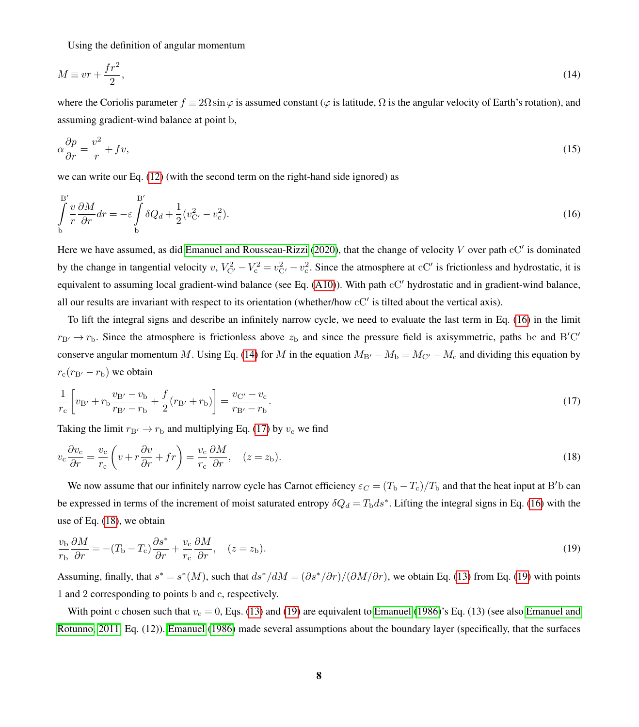<span id="page-7-1"></span>Using the definition of angular momentum

$$
M \equiv v r + \frac{f r^2}{2},\tag{14}
$$

where the Coriolis parameter  $f = 2\Omega \sin \varphi$  is assumed constant ( $\varphi$  is latitude,  $\Omega$  is the angular velocity of Earth's rotation), and assuming gradient-wind balance at point b,

<span id="page-7-0"></span>
$$
\alpha \frac{\partial p}{\partial r} = \frac{v^2}{r} + fv,\tag{15}
$$

we can write our Eq. [\(12\)](#page-6-1) (with the second term on the right-hand side ignored) as

$$
\int_{b}^{B'} \frac{v}{r} \frac{\partial M}{\partial r} dr = -\varepsilon \int_{b}^{B'} \delta Q_d + \frac{1}{2} (v_{\rm C'}^2 - v_{\rm c}^2). \tag{16}
$$

Here we have assumed, as did [Emanuel and Rousseau-Rizzi](#page-32-0) [\(2020\)](#page-32-0), that the change of velocity  $V$  over path  $cC'$  is dominated by the change in tangential velocity  $v, V_{C'}^2 - V_c^2 = v_{C'}^2 - v_c^2$ . Since the atmosphere at  $cC'$  is frictionless and hydrostatic, it is equivalent to assuming local gradient-wind balance (see Eq.  $(A10)$ ). With path  $cC'$  hydrostatic and in gradient-wind balance, all our results are invariant with respect to its orientation (whether/how cC' is tilted about the vertical axis).

To lift the integral signs and describe an infinitely narrow cycle, we need to evaluate the last term in Eq. [\(16\)](#page-7-0) in the limit  $r_{\rm B'} \to r_{\rm b}$ . Since the atmosphere is frictionless above  $z_{\rm b}$  and since the pressure field is axisymmetric, paths bc and B'C' conserve angular momentum M. Using Eq. [\(14\)](#page-7-1) for M in the equation  $M_{B'} - M_b = M_{C'} - M_c$  and dividing this equation by  $r_c(r_{\rm B'} - r_{\rm b})$  we obtain

<span id="page-7-3"></span><span id="page-7-2"></span>
$$
\frac{1}{r_c} \left[ v_{\rm B'} + r_{\rm b} \frac{v_{\rm B'} - v_{\rm b}}{r_{\rm B'} - r_{\rm b}} + \frac{f}{2} (r_{\rm B'} + r_{\rm b}) \right] = \frac{v_{\rm C'} - v_{\rm c}}{r_{\rm B'} - r_{\rm b}}.
$$
\n(17)

Taking the limit  $r_{\text{B}} \rightarrow r_{\text{b}}$  and multiplying Eq. [\(17\)](#page-7-2) by  $v_{\text{c}}$  we find

$$
v_{\rm c} \frac{\partial v_{\rm c}}{\partial r} = \frac{v_{\rm c}}{r_{\rm c}} \left( v + r \frac{\partial v}{\partial r} + fr \right) = \frac{v_{\rm c}}{r_{\rm c}} \frac{\partial M}{\partial r}, \quad (z = z_{\rm b}). \tag{18}
$$

<span id="page-7-4"></span>We now assume that our infinitely narrow cycle has Carnot efficiency  $\varepsilon_C = (T_b - T_c)/T_b$  and that the heat input at B'b can be expressed in terms of the increment of moist saturated entropy  $\delta Q_d = T_{\rm b} ds^*$ . Lifting the integral signs in Eq. [\(16\)](#page-7-0) with the use of Eq. [\(18\)](#page-7-3), we obtain

$$
\frac{v_{\rm b}}{r_{\rm b}}\frac{\partial M}{\partial r} = -(T_{\rm b} - T_{\rm c})\frac{\partial s^*}{\partial r} + \frac{v_{\rm c}}{r_{\rm c}}\frac{\partial M}{\partial r}, \quad (z = z_{\rm b}).\tag{19}
$$

Assuming, finally, that  $s^* = s^*(M)$ , such that  $ds^*/dM = (\partial s^*/\partial r)/(\partial M/\partial r)$ , we obtain Eq. [\(13\)](#page-6-2) from Eq. [\(19\)](#page-7-4) with points 1 and 2 corresponding to points b and c, respectively.

With point c chosen such that  $v_c = 0$ , Eqs. [\(13\)](#page-6-2) and [\(19\)](#page-7-4) are equivalent to [Emanuel](#page-32-7) [\(1986\)](#page-32-7)'s Eq. (13) (see also [Emanuel and](#page-32-6) [Rotunno, 2011,](#page-32-6) Eq. (12)). [Emanuel](#page-32-7) [\(1986\)](#page-32-7) made several assumptions about the boundary layer (specifically, that the surfaces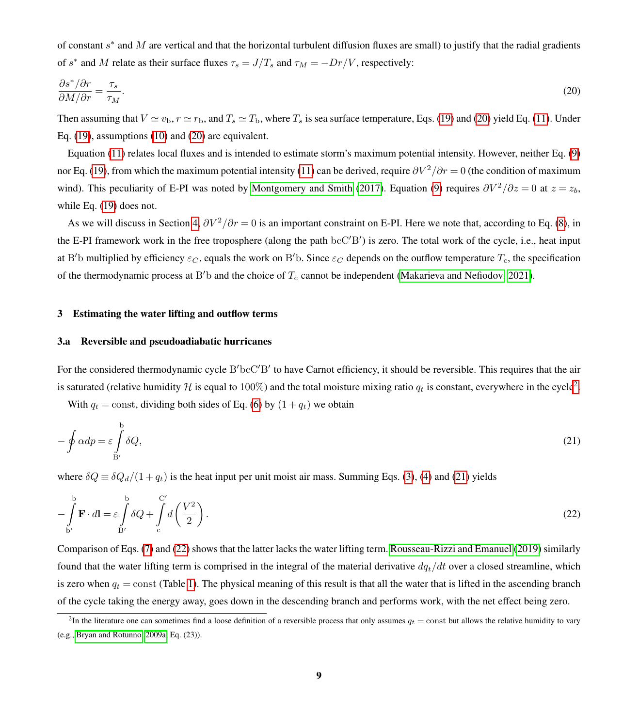<span id="page-8-1"></span>of constant  $s^*$  and M are vertical and that the horizontal turbulent diffusion fluxes are small) to justify that the radial gradients of s<sup>\*</sup> and M relate as their surface fluxes  $\tau_s = J/T_s$  and  $\tau_M = -Dr/V$ , respectively:

$$
\frac{\partial s^* / \partial r}{\partial M / \partial r} = \frac{\tau_s}{\tau_M}.\tag{20}
$$

Then assuming that  $V \simeq v_{\rm b}$ ,  $r \simeq r_{\rm b}$ , and  $T_s \simeq T_{\rm b}$ , where  $T_s$  is sea surface temperature, Eqs. [\(19\)](#page-7-4) and [\(20\)](#page-8-1) yield Eq. [\(11\)](#page-6-3). Under Eq. [\(19\)](#page-7-4), assumptions [\(10\)](#page-6-4) and [\(20\)](#page-8-1) are equivalent.

Equation [\(11\)](#page-6-3) relates local fluxes and is intended to estimate storm's maximum potential intensity. However, neither Eq. [\(9\)](#page-6-0) nor Eq. [\(19\)](#page-7-4), from which the maximum potential intensity [\(11\)](#page-6-3) can be derived, require  $\partial V^2/\partial r = 0$  (the condition of maximum wind). This peculiarity of E-PI was noted by [Montgomery and Smith](#page-33-8) [\(2017\)](#page-33-8). Equation [\(9\)](#page-6-0) requires  $\partial V^2/\partial z = 0$  at  $z = z_b$ , while Eq. [\(19\)](#page-7-4) does not.

As we will discuss in Section [4,](#page-14-0)  $\partial V^2/\partial r = 0$  is an important constraint on E-PI. Here we note that, according to Eq. [\(8\)](#page-5-3), in the E-PI framework work in the free troposphere (along the path bcC'B') is zero. The total work of the cycle, i.e., heat input at B'b multiplied by efficiency  $\varepsilon_C$ , equals the work on B'b. Since  $\varepsilon_C$  depends on the outflow temperature  $T_c$ , the specification of the thermodynamic process at B'b and the choice of  $T_c$  cannot be independent [\(Makarieva and Nefiodov, 2021\)](#page-33-7).

#### <span id="page-8-0"></span>3 Estimating the water lifting and outflow terms

#### <span id="page-8-5"></span>3.a Reversible and pseudoadiabatic hurricanes

For the considered thermodynamic cycle B'bcC'B' to have Carnot efficiency, it should be reversible. This requires that the air is saturated (relative humidity  $H$  is equal to  $100\%$ ) and the total moisture mixing ratio  $q_t$  is constant, everywhere in the cycle<sup>[2](#page-8-2)</sup>.

<span id="page-8-4"></span><span id="page-8-3"></span>With  $q_t = \text{const}$ , dividing both sides of Eq. [\(6\)](#page-5-5) by  $(1 + q_t)$  we obtain

$$
-\oint \alpha dp = \varepsilon \int_{B'}^{b} \delta Q,\tag{21}
$$

where  $\delta Q \equiv \delta Q_d/(1+q_t)$  is the heat input per unit moist air mass. Summing Eqs. [\(3\)](#page-5-1), [\(4\)](#page-5-2) and [\(21\)](#page-8-3) yields

$$
-\int_{b'}^{b'} \mathbf{F} \cdot d\mathbf{l} = \varepsilon \int_{B'}^{b} \delta Q + \int_{c}^{C'} d\left(\frac{V^2}{2}\right).
$$
 (22)

Comparison of Eqs. [\(7\)](#page-5-6) and [\(22\)](#page-8-4) shows that the latter lacks the water lifting term. [Rousseau-Rizzi and Emanuel](#page-34-3) [\(2019\)](#page-34-3) similarly found that the water lifting term is comprised in the integral of the material derivative  $dq_t/dt$  over a closed streamline, which is zero when  $q_t$  = const (Table [1\)](#page-1-0). The physical meaning of this result is that all the water that is lifted in the ascending branch of the cycle taking the energy away, goes down in the descending branch and performs work, with the net effect being zero.

<span id="page-8-2"></span><sup>&</sup>lt;sup>2</sup>In the literature one can sometimes find a loose definition of a reversible process that only assumes  $q_t = \text{const}$  but allows the relative humidity to vary (e.g., [Bryan and Rotunno, 2009a,](#page-32-11) Eq. (23)).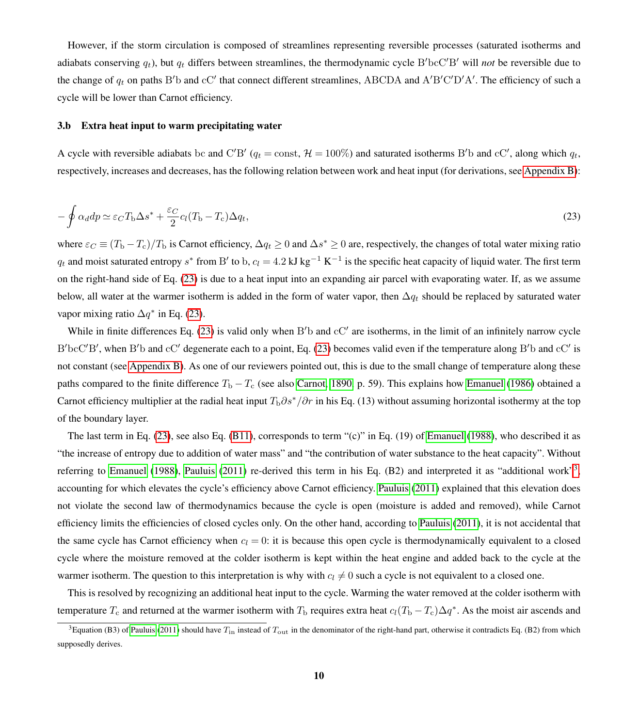However, if the storm circulation is composed of streamlines representing reversible processes (saturated isotherms and adiabats conserving  $q_t$ ), but  $q_t$  differs between streamlines, the thermodynamic cycle  $B'bcC'B'$  will *not* be reversible due to the change of  $q_t$  on paths B'b and cC' that connect different streamlines, ABCDA and A'B'C'D'A'. The efficiency of such a cycle will be lower than Carnot efficiency.

#### 3.b Extra heat input to warm precipitating water

<span id="page-9-0"></span>A cycle with reversible adiabats bc and C'B' ( $q_t$  = const,  $H = 100\%$ ) and saturated isotherms B'b and cC', along which  $q_t$ , respectively, increases and decreases, has the following relation between work and heat input (for derivations, see [Appendix B\)](#page-22-0):

$$
-\oint \alpha_d dp \simeq \varepsilon_C T_{\rm b} \Delta s^* + \frac{\varepsilon_C}{2} c_l (T_{\rm b} - T_{\rm c}) \Delta q_t, \tag{23}
$$

where  $\varepsilon_C \equiv (T_{\rm b} - T_{\rm c})/T_{\rm b}$  is Carnot efficiency,  $\Delta q_t \ge 0$  and  $\Delta s^* \ge 0$  are, respectively, the changes of total water mixing ratio  $q_t$  and moist saturated entropy s<sup>\*</sup> from B' to b,  $c_l = 4.2 \text{ kJ kg}^{-1} \text{ K}^{-1}$  is the specific heat capacity of liquid water. The first term on the right-hand side of Eq. [\(23\)](#page-9-0) is due to a heat input into an expanding air parcel with evaporating water. If, as we assume below, all water at the warmer isotherm is added in the form of water vapor, then  $\Delta q_t$  should be replaced by saturated water vapor mixing ratio  $\Delta q^*$  in Eq. [\(23\)](#page-9-0).

While in finite differences Eq.  $(23)$  is valid only when B'b and  $cC'$  are isotherms, in the limit of an infinitely narrow cycle B'bcC'B', when B'b and cC' degenerate each to a point, Eq. [\(23\)](#page-9-0) becomes valid even if the temperature along B'b and cC' is not constant (see [Appendix B\)](#page-22-0). As one of our reviewers pointed out, this is due to the small change of temperature along these paths compared to the finite difference  $T_b - T_c$  (see also [Carnot, 1890,](#page-32-12) p. 59). This explains how [Emanuel](#page-32-7) [\(1986\)](#page-32-7) obtained a Carnot efficiency multiplier at the radial heat input  $T_b\partial s^*/\partial r$  in his Eq. (13) without assuming horizontal isothermy at the top of the boundary layer.

The last term in Eq. [\(23\)](#page-9-0), see also Eq. [\(B11\)](#page-21-1), corresponds to term "(c)" in Eq. (19) of [Emanuel](#page-32-4) [\(1988\)](#page-32-4), who described it as "the increase of entropy due to addition of water mass" and "the contribution of water substance to the heat capacity". Without referring to [Emanuel](#page-32-4) [\(1988\)](#page-32-4), [Pauluis](#page-34-5) [\(2011\)](#page-34-5) re-derived this term in his Eq. (B2) and interpreted it as "additional work"<sup>[3](#page-9-1)</sup>, accounting for which elevates the cycle's efficiency above Carnot efficiency. [Pauluis](#page-34-5) [\(2011\)](#page-34-5) explained that this elevation does not violate the second law of thermodynamics because the cycle is open (moisture is added and removed), while Carnot efficiency limits the efficiencies of closed cycles only. On the other hand, according to [Pauluis](#page-34-5) [\(2011\)](#page-34-5), it is not accidental that the same cycle has Carnot efficiency when  $c_l = 0$ : it is because this open cycle is thermodynamically equivalent to a closed cycle where the moisture removed at the colder isotherm is kept within the heat engine and added back to the cycle at the warmer isotherm. The question to this interpretation is why with  $c_l \neq 0$  such a cycle is not equivalent to a closed one.

This is resolved by recognizing an additional heat input to the cycle. Warming the water removed at the colder isotherm with temperature  $T_c$  and returned at the warmer isotherm with  $T_b$  requires extra heat  $c_l(T_b - T_c)\Delta q^*$ . As the moist air ascends and

<span id="page-9-1"></span><sup>&</sup>lt;sup>3</sup>Equation (B3) of [Pauluis](#page-34-5) [\(2011\)](#page-34-5) should have  $T_{\text{in}}$  instead of  $T_{\text{out}}$  in the denominator of the right-hand part, otherwise it contradicts Eq. (B2) from which supposedly derives.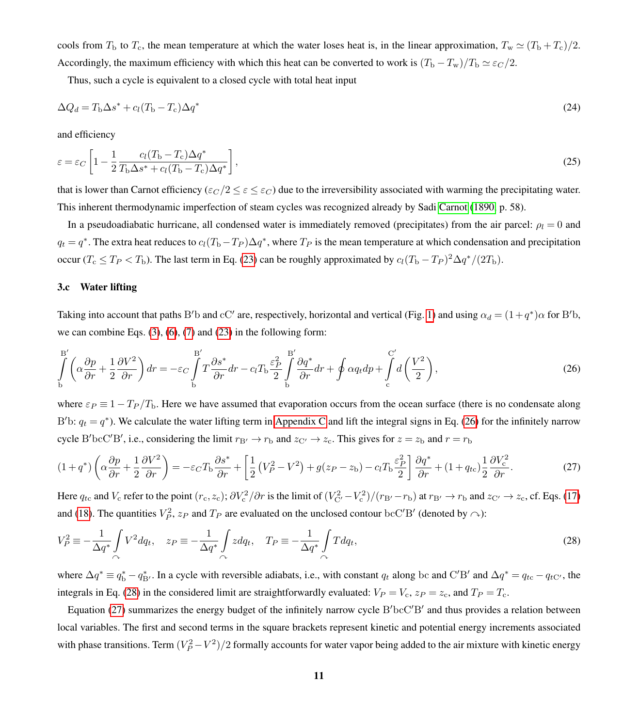cools from  $T_b$  to  $T_c$ , the mean temperature at which the water loses heat is, in the linear approximation,  $T_w \simeq (T_b + T_c)/2$ . Accordingly, the maximum efficiency with which this heat can be converted to work is  $(T_b - T_w)/T_b \simeq \varepsilon_C/2$ .

<span id="page-10-3"></span>Thus, such a cycle is equivalent to a closed cycle with total heat input

$$
\Delta Q_d = T_{\rm b} \Delta s^* + c_l (T_{\rm b} - T_{\rm c}) \Delta q^* \tag{24}
$$

and efficiency

$$
\varepsilon = \varepsilon_C \left[ 1 - \frac{1}{2} \frac{c_l (T_{\rm b} - T_{\rm c}) \Delta q^*}{T_{\rm b} \Delta s^* + c_l (T_{\rm b} - T_{\rm c}) \Delta q^*} \right],\tag{25}
$$

that is lower than Carnot efficiency ( $\varepsilon_c/2 \leq \varepsilon \leq \varepsilon_c$ ) due to the irreversibility associated with warming the precipitating water. This inherent thermodynamic imperfection of steam cycles was recognized already by Sadi [Carnot](#page-32-12) [\(1890,](#page-32-12) p. 58).

In a pseudoadiabatic hurricane, all condensed water is immediately removed (precipitates) from the air parcel:  $\rho_l = 0$  and  $q_t = q^*$ . The extra heat reduces to  $c_l(T_b - T_P)\Delta q^*$ , where  $T_P$  is the mean temperature at which condensation and precipitation occur ( $T_c \le T_P < T_b$ ). The last term in Eq. [\(23\)](#page-9-0) can be roughly approximated by  $c_l (T_b - T_P)^2 \Delta q^* / (2T_b)$ .

## <span id="page-10-4"></span>3.c Water lifting

<span id="page-10-0"></span>Taking into account that paths B'b and cC' are, respectively, horizontal and vertical (Fig. [1\)](#page-4-0) and using  $\alpha_d = (1+q^*)\alpha$  for B'b, we can combine Eqs.  $(3)$ ,  $(6)$ ,  $(7)$  and  $(23)$  in the following form:

$$
\int_{b}^{B'} \left( \alpha \frac{\partial p}{\partial r} + \frac{1}{2} \frac{\partial V^2}{\partial r} \right) dr = -\varepsilon_C \int_{b}^{B'} T \frac{\partial s^*}{\partial r} dr - c_l T_b \frac{\varepsilon_P^2}{2} \int_{b}^{B'} \frac{\partial q^*}{\partial r} dr + \oint \alpha q_t dp + \int_{c}^{C'} d\left(\frac{V^2}{2}\right),\tag{26}
$$

where  $\varepsilon_P \equiv 1 - T_P/T_b$ . Here we have assumed that evaporation occurs from the ocean surface (there is no condensate along B'b:  $q_t = q^*$ ). We calculate the water lifting term in [Appendix C](#page-24-0) and lift the integral signs in Eq. [\(26\)](#page-10-0) for the infinitely narrow cycle B'bcC'B', i.e., considering the limit  $r_{\rm B'} \to r_{\rm b}$  and  $z_{\rm C'} \to z_{\rm c}$ . This gives for  $z = z_{\rm b}$  and  $r = r_{\rm b}$ 

<span id="page-10-2"></span>
$$
(1+q^*)\left(\alpha\frac{\partial p}{\partial r} + \frac{1}{2}\frac{\partial V^2}{\partial r}\right) = -\varepsilon_C T_\text{b} \frac{\partial s^*}{\partial r} + \left[\frac{1}{2}\left(V_P^2 - V^2\right) + g(z_P - z_\text{b}) - c_l T_\text{b} \frac{\varepsilon_P^2}{2}\right] \frac{\partial q^*}{\partial r} + (1+q_{tc})\frac{1}{2}\frac{\partial V_c^2}{\partial r}.\tag{27}
$$

<span id="page-10-1"></span>Here  $q_{tc}$  and  $V_c$  refer to the point  $(r_c, z_c)$ ;  $\partial V_c^2 / \partial r$  is the limit of  $(V_{\rm C'}^2 - V_c^2) / (r_{\rm B'} - r_{\rm b})$  at  $r_{\rm B'} \to r_{\rm b}$  and  $z_{\rm C'} \to z_c$ , cf. Eqs. [\(17\)](#page-7-2) and [\(18\)](#page-7-3). The quantities  $V_P^2$ ,  $z_P$  and  $T_P$  are evaluated on the unclosed contour bcC'B' (denoted by  $\curvearrowright$ ):

$$
V_P^2 \equiv -\frac{1}{\Delta q^*} \int \limits_{\curvearrowright} V^2 dq_t, \quad z_P \equiv -\frac{1}{\Delta q^*} \int \limits_{\curvearrowright} z dq_t, \quad T_P \equiv -\frac{1}{\Delta q^*} \int \limits_{\curvearrowright} T dq_t,
$$
\n(28)

where  $\Delta q^* \equiv q_{\rm b}^* - q_{\rm B'}^*$ . In a cycle with reversible adiabats, i.e., with constant  $q_t$  along bc and C'B' and  $\Delta q^* = q_{\rm tc} - q_{\rm tC'}$ , the integrals in Eq. [\(28\)](#page-10-1) in the considered limit are straightforwardly evaluated:  $V_P = V_c$ ,  $z_P = z_c$ , and  $T_P = T_c$ .

Equation [\(27\)](#page-10-2) summarizes the energy budget of the infinitely narrow cycle  $B'bcC'B'$  and thus provides a relation between local variables. The first and second terms in the square brackets represent kinetic and potential energy increments associated with phase transitions. Term  $(V_P^2 - V^2)/2$  formally accounts for water vapor being added to the air mixture with kinetic energy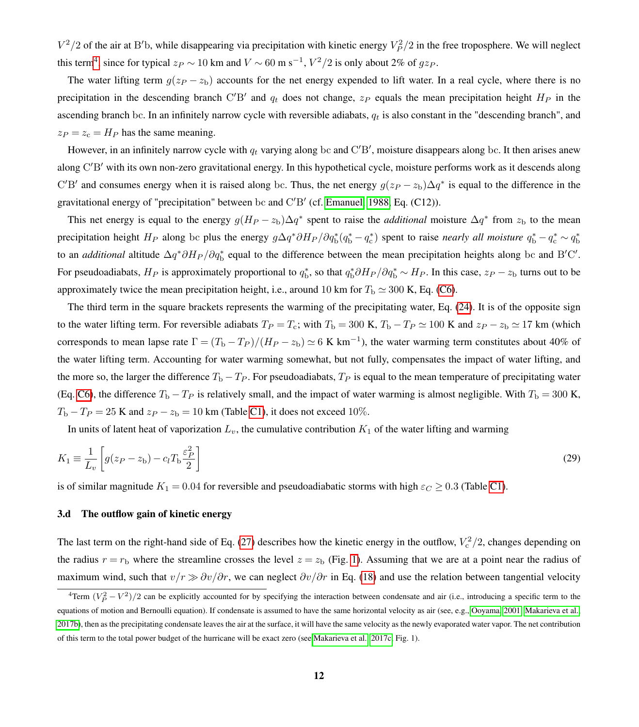$V^2/2$  of the air at B<sup>'</sup>b, while disappearing via precipitation with kinetic energy  $V_P^2/2$  in the free troposphere. We will neglect this term<sup>[4](#page-11-1)</sup>, since for typical  $z_P \sim 10$  km and  $V \sim 60$  m s<sup>-1</sup>,  $V^2/2$  is only about 2% of  $gz_P$ .

The water lifting term  $g(z_P - z_b)$  accounts for the net energy expended to lift water. In a real cycle, where there is no precipitation in the descending branch C'B' and  $q_t$  does not change,  $z_P$  equals the mean precipitation height  $H_P$  in the ascending branch bc. In an infinitely narrow cycle with reversible adiabats,  $q_t$  is also constant in the "descending branch", and  $z_P = z_c = H_P$  has the same meaning.

However, in an infinitely narrow cycle with  $q_t$  varying along bc and C'B', moisture disappears along bc. It then arises anew along C'B' with its own non-zero gravitational energy. In this hypothetical cycle, moisture performs work as it descends along C'B' and consumes energy when it is raised along bc. Thus, the net energy  $g(z_P - z_b)\Delta q^*$  is equal to the difference in the gravitational energy of "precipitation" between bc and  $C'B'$  (cf. [Emanuel, 1988,](#page-32-4) Eq. (C12)).

This net energy is equal to the energy  $g(H_P - z_b)\Delta q^*$  spent to raise the *additional* moisture  $\Delta q^*$  from  $z_b$  to the mean precipitation height  $H_P$  along bc plus the energy  $g\Delta q^*\partial H_P/\partial q_b^*(q_b^* - q_c^*)$  spent to raise *nearly all moisture*  $q_b^* - q_c^* \sim q_b^*$ to an *additional* altitude  $\Delta q^* \partial H_P / \partial q_b^*$  equal to the difference between the mean precipitation heights along bc and B'C'. For pseudoadiabats,  $H_P$  is approximately proportional to  $q_b^*$ , so that  $q_b^* \partial H_P / \partial q_b^* \sim H_P$ . In this case,  $z_P - z_b$  turns out to be approximately twice the mean precipitation height, i.e., around 10 km for  $T_b \simeq 300$  K, Eq. [\(C6\)](#page-20-1).

The third term in the square brackets represents the warming of the precipitating water, Eq. [\(24\)](#page-10-3). It is of the opposite sign to the water lifting term. For reversible adiabats  $T_P = T_c$ ; with  $T_b = 300$  K,  $T_b - T_P \simeq 100$  K and  $z_P - z_b \simeq 17$  km (which corresponds to mean lapse rate  $\Gamma = (T_b - T_P)/(H_P - z_b) \simeq 6$  K km<sup>-1</sup>), the water warming term constitutes about 40% of the water lifting term. Accounting for water warming somewhat, but not fully, compensates the impact of water lifting, and the more so, the larger the difference  $T_b - T_p$ . For pseudoadiabats,  $T_p$  is equal to the mean temperature of precipitating water (Eq. [C6\)](#page-20-1), the difference  $T_b - T_p$  is relatively small, and the impact of water warming is almost negligible. With  $T_b = 300$  K,  $T_{\rm b} - T_P = 25$  K and  $z_P - z_{\rm b} = 10$  km (Table [C1\)](#page-26-0), it does not exceed 10%.

<span id="page-11-0"></span>In units of latent heat of vaporization  $L_v$ , the cumulative contribution  $K_1$  of the water lifting and warming

$$
K_1 \equiv \frac{1}{L_v} \left[ g(z_P - z_b) - c_l T_b \frac{\varepsilon_P^2}{2} \right]
$$
\n
$$
(29)
$$

is of similar magnitude  $K_1 = 0.04$  for reversible and pseudoadiabatic storms with high  $\varepsilon_C \geq 0.3$  (Table [C1\)](#page-26-0).

## <span id="page-11-2"></span>3.d The outflow gain of kinetic energy

The last term on the right-hand side of Eq. [\(27\)](#page-10-2) describes how the kinetic energy in the outflow,  $V_c^2/2$ , changes depending on the radius  $r = r_b$  where the streamline crosses the level  $z = z_b$  (Fig. [1\)](#page-4-0). Assuming that we are at a point near the radius of maximum wind, such that  $v/r \gg \partial v/\partial r$ , we can neglect  $\partial v/\partial r$  in Eq. [\(18\)](#page-7-3) and use the relation between tangential velocity

<span id="page-11-1"></span><sup>&</sup>lt;sup>4</sup>Term  $(V_P^2 - V^2)/2$  can be explicitly accounted for by specifying the interaction between condensate and air (i.e., introducing a specific term to the equations of motion and Bernoulli equation). If condensate is assumed to have the same horizontal velocity as air (see, e.g., [Ooyama, 2001;](#page-34-6) [Makarieva et al.,](#page-33-9) [2017b\)](#page-33-9), then as the precipitating condensate leaves the air at the surface, it will have the same velocity as the newly evaporated water vapor. The net contribution of this term to the total power budget of the hurricane will be exact zero (see [Makarieva et al., 2017c,](#page-33-2) Fig. 1).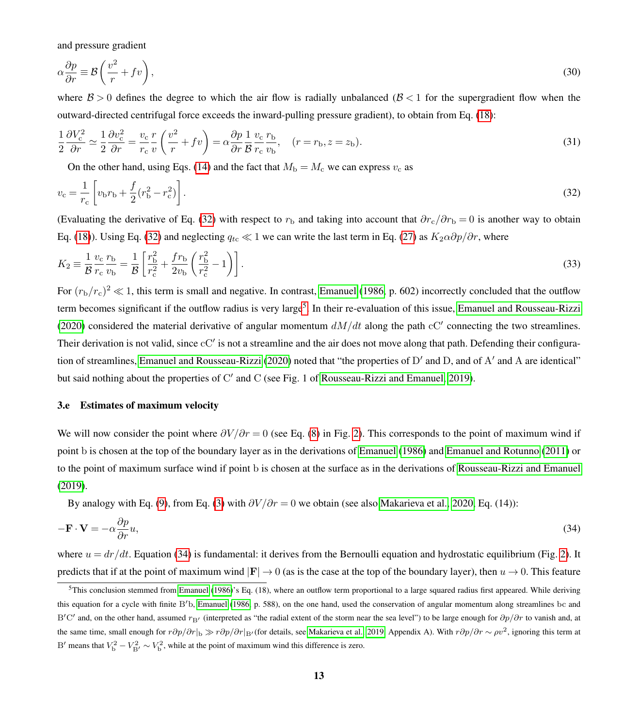<span id="page-12-3"></span>and pressure gradient

$$
\alpha \frac{\partial p}{\partial r} \equiv \mathcal{B} \left( \frac{v^2}{r} + f v \right),\tag{30}
$$

where  $B > 0$  defines the degree to which the air flow is radially unbalanced ( $B < 1$  for the supergradient flow when the outward-directed centrifugal force exceeds the inward-pulling pressure gradient), to obtain from Eq. [\(18\)](#page-7-3):

$$
\frac{1}{2}\frac{\partial V_{\rm c}^2}{\partial r} \simeq \frac{1}{2}\frac{\partial v_{\rm c}^2}{\partial r} = \frac{v_{\rm c}}{r_{\rm c}}\frac{r}{v}\left(\frac{v^2}{r} + fv\right) = \alpha\frac{\partial p}{\partial r}\frac{1}{\mathcal{B}}\frac{v_{\rm c}}{r_{\rm c}}\frac{r_{\rm b}}{v_{\rm b}}, \quad (r = r_{\rm b}, z = z_{\rm b}).\tag{31}
$$

<span id="page-12-5"></span><span id="page-12-4"></span><span id="page-12-0"></span>On the other hand, using Eqs. [\(14\)](#page-7-1) and the fact that  $M_b = M_c$  we can express  $v_c$  as

$$
v_{\rm c} = \frac{1}{r_{\rm c}} \left[ v_{\rm b} r_{\rm b} + \frac{f}{2} (r_{\rm b}^2 - r_{\rm c}^2) \right]. \tag{32}
$$

(Evaluating the derivative of Eq. [\(32\)](#page-12-0) with respect to  $r<sub>b</sub>$  and taking into account that  $\partial r_c/\partial r_b = 0$  is another way to obtain Eq. [\(18\)](#page-7-3)). Using Eq. [\(32\)](#page-12-0) and neglecting  $q_{tc} \ll 1$  we can write the last term in Eq. [\(27\)](#page-10-2) as  $K_2 \alpha \partial p / \partial r$ , where

$$
K_2 \equiv \frac{1}{\mathcal{B}} \frac{v_c}{r_c} \frac{r_b}{v_b} = \frac{1}{\mathcal{B}} \left[ \frac{r_b^2}{r_c^2} + \frac{f r_b}{2v_b} \left( \frac{r_b^2}{r_c^2} - 1 \right) \right].
$$
 (33)

For  $(r_b/r_c)^2 \ll 1$ , this term is small and negative. In contrast, [Emanuel](#page-32-7) [\(1986,](#page-32-7) p. 602) incorrectly concluded that the outflow term becomes significant if the outflow radius is very large<sup>[5](#page-12-1)</sup>. In their re-evaluation of this issue, [Emanuel and Rousseau-Rizzi](#page-32-0) [\(2020\)](#page-32-0) considered the material derivative of angular momentum  $dM/dt$  along the path cC' connecting the two streamlines. Their derivation is not valid, since  $cC'$  is not a streamline and the air does not move along that path. Defending their configura-tion of streamlines, [Emanuel and Rousseau-Rizzi](#page-32-0) [\(2020\)](#page-32-0) noted that "the properties of D' and D, and of A' and A are identical" but said nothing about the properties of C' and C (see Fig. 1 of [Rousseau-Rizzi and Emanuel, 2019\)](#page-34-3).

#### <span id="page-12-6"></span>3.e Estimates of maximum velocity

We will now consider the point where  $\partial V/\partial r = 0$  (see Eq. [\(8\)](#page-5-3) in Fig. [2\)](#page-5-0). This corresponds to the point of maximum wind if point b is chosen at the top of the boundary layer as in the derivations of [Emanuel](#page-32-7) [\(1986\)](#page-32-7) and [Emanuel and Rotunno](#page-32-6) [\(2011\)](#page-32-6) or to the point of maximum surface wind if point b is chosen at the surface as in the derivations of [Rousseau-Rizzi and Emanuel](#page-34-3) [\(2019\)](#page-34-3).

<span id="page-12-2"></span>By analogy with Eq. [\(9\)](#page-6-0), from Eq. [\(3\)](#page-5-1) with  $\partial V/\partial r = 0$  we obtain (see also [Makarieva et al., 2020,](#page-33-0) Eq. (14)):

$$
-\mathbf{F} \cdot \mathbf{V} = -\alpha \frac{\partial p}{\partial r} u,\tag{34}
$$

where  $u = dr/dt$ . Equation [\(34\)](#page-12-2) is fundamental: it derives from the Bernoulli equation and hydrostatic equilibrium (Fig. [2\)](#page-5-0). It predicts that if at the point of maximum wind  $|F| \to 0$  (as is the case at the top of the boundary layer), then  $u \to 0$ . This feature

<span id="page-12-1"></span> $5$ This conclusion stemmed from [Emanuel](#page-32-7) [\(1986\)](#page-32-7)'s Eq. (18), where an outflow term proportional to a large squared radius first appeared. While deriving this equation for a cycle with finite  $B/b$ , [Emanuel](#page-32-7) [\(1986,](#page-32-7) p. 588), on the one hand, used the conservation of angular momentum along streamlines bc and B'C' and, on the other hand, assumed  $r_{\rm B}$ ' (interpreted as "the radial extent of the storm near the sea level") to be large enough for  $\partial p/\partial r$  to vanish and, at the same time, small enough for  $r\partial p/\partial r|_b \gg r\partial p/\partial r|_{B'}$ (for details, see [Makarieva et al., 2019,](#page-33-6) Appendix A). With  $r\partial p/\partial r \sim \rho v^2$ , ignoring this term at B' means that  $V_{\rm b}^2 - V_{\rm B'}^2 \sim V_{\rm b}^2$ , while at the point of maximum wind this difference is zero.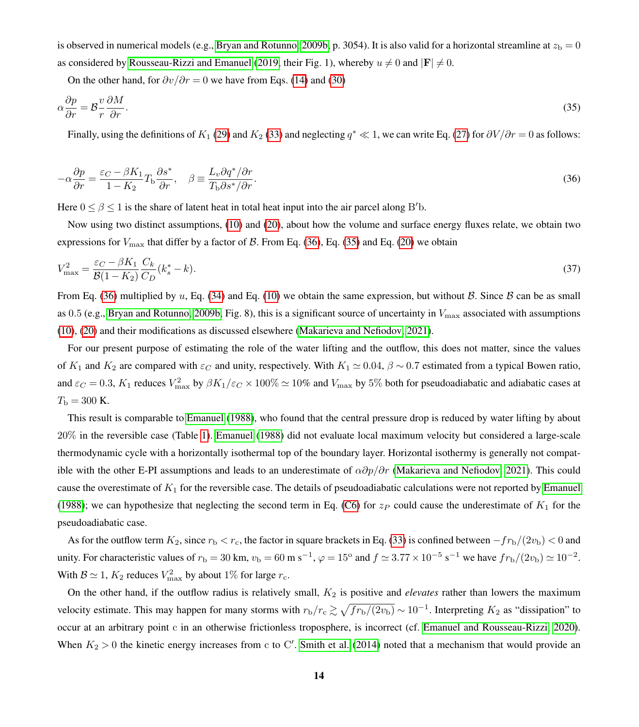is observed in numerical models (e.g., [Bryan and Rotunno, 2009b,](#page-32-9) p. 3054). It is also valid for a horizontal streamline at  $z<sub>b</sub> = 0$ as considered by [Rousseau-Rizzi and Emanuel](#page-34-3) [\(2019,](#page-34-3) their Fig. 1), whereby  $u \neq 0$  and  $|\mathbf{F}| \neq 0$ .

<span id="page-13-1"></span>On the other hand, for  $\partial v/\partial r = 0$  we have from Eqs. [\(14\)](#page-7-1) and [\(30\)](#page-12-3)

$$
\alpha \frac{\partial p}{\partial r} = \mathcal{B} \frac{v}{r} \frac{\partial M}{\partial r}.\tag{35}
$$

<span id="page-13-0"></span>Finally, using the definitions of  $K_1$  [\(29\)](#page-11-0) and  $K_2$  [\(33\)](#page-12-4) and neglecting  $q^* \ll 1$ , we can write Eq. [\(27\)](#page-10-2) for  $\partial V/\partial r = 0$  as follows:

$$
-\alpha \frac{\partial p}{\partial r} = \frac{\varepsilon_C - \beta K_1}{1 - K_2} T_{\rm b} \frac{\partial s^*}{\partial r}, \quad \beta \equiv \frac{L_v \partial q^* / \partial r}{T_{\rm b} \partial s^* / \partial r}.
$$
\n(36)

Here  $0 \le \beta \le 1$  is the share of latent heat in total heat input into the air parcel along B'b.

Now using two distinct assumptions, [\(10\)](#page-6-4) and [\(20\)](#page-8-1), about how the volume and surface energy fluxes relate, we obtain two expressions for  $V_{\text{max}}$  that differ by a factor of  $\beta$ . From Eq. [\(36\)](#page-13-0), Eq. [\(35\)](#page-13-1) and Eq. [\(20\)](#page-8-1) we obtain

<span id="page-13-2"></span>
$$
V_{\text{max}}^2 = \frac{\varepsilon_C - \beta K_1}{\mathcal{B}(1 - K_2)} \frac{C_k}{C_D} (k_s^* - k). \tag{37}
$$

From Eq. [\(36\)](#page-13-0) multiplied by u, Eq. [\(34\)](#page-12-2) and Eq. [\(10\)](#page-6-4) we obtain the same expression, but without B. Since B can be as small as 0.5 (e.g., [Bryan and Rotunno, 2009b,](#page-32-9) Fig. 8), this is a significant source of uncertainty in  $V_{\text{max}}$  associated with assumptions [\(10\)](#page-6-4), [\(20\)](#page-8-1) and their modifications as discussed elsewhere [\(Makarieva and Nefiodov, 2021\)](#page-33-7).

For our present purpose of estimating the role of the water lifting and the outflow, this does not matter, since the values of  $K_1$  and  $K_2$  are compared with  $\varepsilon_C$  and unity, respectively. With  $K_1 \simeq 0.04$ ,  $\beta \sim 0.7$  estimated from a typical Bowen ratio, and  $\varepsilon_C = 0.3$ ,  $K_1$  reduces  $V_{\text{max}}^2$  by  $\beta K_1/\varepsilon_C \times 100\% \simeq 10\%$  and  $V_{\text{max}}$  by 5% both for pseudoadiabatic and adiabatic cases at  $T_{\rm b} = 300$  K.

This result is comparable to [Emanuel](#page-32-4) [\(1988\)](#page-32-4), who found that the central pressure drop is reduced by water lifting by about 20% in the reversible case (Table [1\)](#page-1-0). [Emanuel](#page-32-4) [\(1988\)](#page-32-4) did not evaluate local maximum velocity but considered a large-scale thermodynamic cycle with a horizontally isothermal top of the boundary layer. Horizontal isothermy is generally not compatible with the other E-PI assumptions and leads to an underestimate of  $\alpha \partial p/\partial r$  [\(Makarieva and Nefiodov, 2021\)](#page-33-7). This could cause the overestimate of  $K_1$  for the reversible case. The details of pseudoadiabatic calculations were not reported by [Emanuel](#page-32-4) [\(1988\)](#page-32-4); we can hypothesize that neglecting the second term in Eq. [\(C6\)](#page-20-1) for  $z_P$  could cause the underestimate of  $K_1$  for the pseudoadiabatic case.

As for the outflow term  $K_2$ , since  $r_b < r_c$ , the factor in square brackets in Eq. [\(33\)](#page-12-4) is confined between  $-fr_b/(2v_b) < 0$  and unity. For characteristic values of  $r_b = 30$  km,  $v_b = 60$  m s<sup>-1</sup>,  $\varphi = 15^{\circ}$  and  $f \approx 3.77 \times 10^{-5}$  s<sup>-1</sup> we have  $fr_b/(2v_b) \simeq 10^{-2}$ . With  $B \simeq 1$ ,  $K_2$  reduces  $V_{\text{max}}^2$  by about 1% for large  $r_c$ .

On the other hand, if the outflow radius is relatively small,  $K_2$  is positive and *elevates* rather than lowers the maximum velocity estimate. This may happen for many storms with  $r_b/r_c \gtrsim \sqrt{f r_b/(2v_b)} \sim 10^{-1}$ . Interpreting  $K_2$  as "dissipation" to occur at an arbitrary point c in an otherwise frictionless troposphere, is incorrect (cf. [Emanuel and Rousseau-Rizzi, 2020\)](#page-32-0). When  $K_2 > 0$  the kinetic energy increases from c to C'. [Smith et al.](#page-34-7) [\(2014\)](#page-34-7) noted that a mechanism that would provide an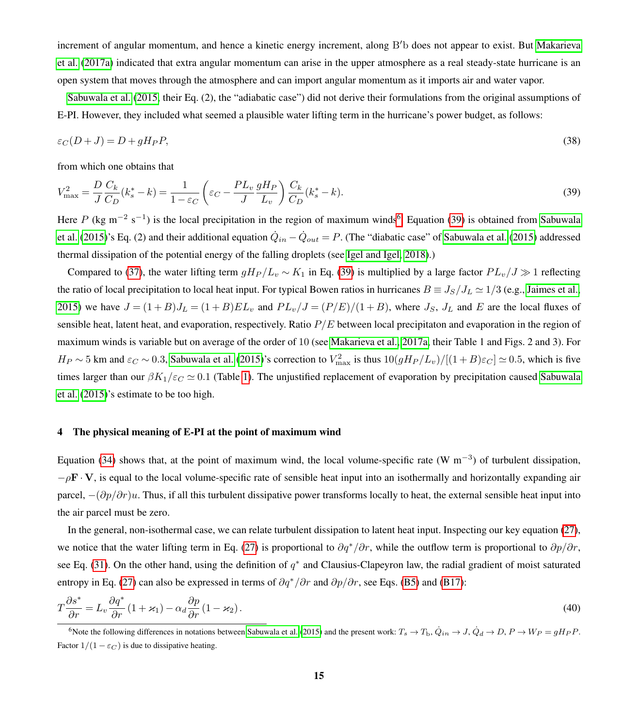increment of angular momentum, and hence a kinetic energy increment, along B'b does not appear to exist. But [Makarieva](#page-33-10) [et al.](#page-33-10) [\(2017a\)](#page-33-10) indicated that extra angular momentum can arise in the upper atmosphere as a real steady-state hurricane is an open system that moves through the atmosphere and can import angular momentum as it imports air and water vapor.

[Sabuwala et al.](#page-34-2) [\(2015,](#page-34-2) their Eq. (2), the "adiabatic case") did not derive their formulations from the original assumptions of E-PI. However, they included what seemed a plausible water lifting term in the hurricane's power budget, as follows:

$$
\varepsilon_C(D+J) = D + gH_P P,\tag{38}
$$

<span id="page-14-2"></span>from which one obtains that

$$
V_{\text{max}}^2 = \frac{D}{J} \frac{C_k}{C_D} (k_s^* - k) = \frac{1}{1 - \varepsilon_C} \left( \varepsilon_C - \frac{PL_v}{J} \frac{gH_P}{L_v} \right) \frac{C_k}{C_D} (k_s^* - k).
$$
 (39)

Here P (kg m<sup>-2</sup> s<sup>-1</sup>) is the local precipitation in the region of maximum winds<sup>[6](#page-14-1)</sup>. Equation [\(39\)](#page-14-2) is obtained from [Sabuwala](#page-34-2) [et al.](#page-34-2) [\(2015\)](#page-34-2)'s Eq. (2) and their additional equation  $\dot{Q}_{in} - \dot{Q}_{out} = P$ . (The "diabatic case" of [Sabuwala et al.](#page-34-2) (2015) addressed thermal dissipation of the potential energy of the falling droplets (see [Igel and Igel, 2018\)](#page-32-13).)

Compared to [\(37\)](#page-13-2), the water lifting term  $gH_P/L_v \sim K_1$  in Eq. [\(39\)](#page-14-2) is multiplied by a large factor  $PL_v/J \gg 1$  reflecting the ratio of local precipitation to local heat input. For typical Bowen ratios in hurricanes  $B = J_S/J_L \simeq 1/3$  (e.g., [Jaimes et al.,](#page-32-14) [2015\)](#page-32-14) we have  $J = (1 + B)J_L = (1 + B)EL_v$  and  $PL_v/J = (P/E)/(1 + B)$ , where  $J_S$ ,  $J_L$  and E are the local fluxes of sensible heat, latent heat, and evaporation, respectively. Ratio  $P/E$  between local precipitaton and evaporation in the region of maximum winds is variable but on average of the order of 10 (see [Makarieva et al., 2017a,](#page-33-10) their Table 1 and Figs. 2 and 3). For  $H_P \sim 5$  km and  $\varepsilon_C \sim 0.3$ , [Sabuwala et al.](#page-34-2) [\(2015\)](#page-34-2)'s correction to  $V_{\text{max}}^2$  is thus  $10(gH_P/L_v)/[(1+B)\varepsilon_C] \simeq 0.5$ , which is five times larger than our  $\beta K_1/\varepsilon_c \simeq 0.1$  (Table [1\)](#page-1-0). The unjustified replacement of evaporation by precipitation caused [Sabuwala](#page-34-2) [et al.](#page-34-2) [\(2015\)](#page-34-2)'s estimate to be too high.

#### <span id="page-14-0"></span>4 The physical meaning of E-PI at the point of maximum wind

Equation [\(34\)](#page-12-2) shows that, at the point of maximum wind, the local volume-specific rate (W m<sup>-3</sup>) of turbulent dissipation,  $-pF \cdot V$ , is equal to the local volume-specific rate of sensible heat input into an isothermally and horizontally expanding air parcel,  $-(\partial p/\partial r)u$ . Thus, if all this turbulent dissipative power transforms locally to heat, the external sensible heat input into the air parcel must be zero.

In the general, non-isothermal case, we can relate turbulent dissipation to latent heat input. Inspecting our key equation [\(27\)](#page-10-2), we notice that the water lifting term in Eq. [\(27\)](#page-10-2) is proportional to  $\partial q^*/\partial r$ , while the outflow term is proportional to  $\partial p/\partial r$ , see Eq. [\(31\)](#page-12-5). On the other hand, using the definition of  $q^*$  and Clausius-Clapeyron law, the radial gradient of moist saturated entropy in Eq. [\(27\)](#page-10-2) can also be expressed in terms of  $\partial q^*/\partial r$  and  $\partial p/\partial r$ , see Eqs. [\(B5\)](#page-20-2) and [\(B17\)](#page-24-1):

<span id="page-14-3"></span>
$$
T\frac{\partial s^*}{\partial r} = L_v \frac{\partial q^*}{\partial r} (1 + \varkappa_1) - \alpha_d \frac{\partial p}{\partial r} (1 - \varkappa_2).
$$
\n(40)

<span id="page-14-1"></span><sup>6</sup>Note the following differences in notations between [Sabuwala et al.](#page-34-2) [\(2015\)](#page-34-2) and the present work:  $T_s \to T_b$ ,  $\dot{Q}_{in} \to J$ ,  $\dot{Q}_d \to D$ ,  $P \to W_P = gH_P P$ . Factor  $1/(1 - \varepsilon_C)$  is due to dissipative heating.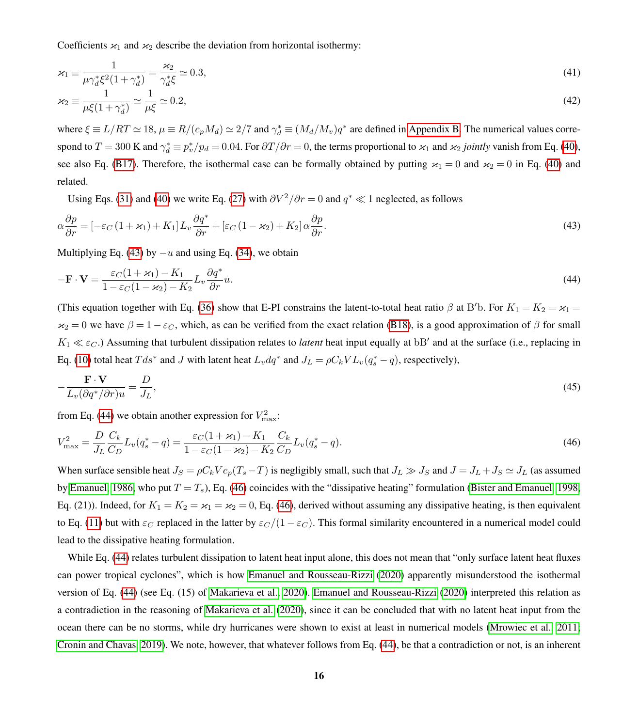Coefficients  $x_1$  and  $x_2$  describe the deviation from horizontal isothermy:

$$
\varkappa_1 \equiv \frac{1}{\mu \gamma_d^* \xi^2 (1 + \gamma_d^*)} = \frac{\varkappa_2}{\gamma_d^* \xi} \simeq 0.3,
$$
\n(41)

$$
\varkappa_2 \equiv \frac{1}{\mu \xi (1 + \gamma_d^*)} \simeq \frac{1}{\mu \xi} \simeq 0.2,\tag{42}
$$

where  $\xi \equiv L/RT \simeq 18$ ,  $\mu \equiv R/(c_pM_d) \simeq 2/7$  and  $\gamma_d^* \equiv (M_d/M_v)q^*$  are defined in [Appendix B.](#page-22-0) The numerical values correspond to  $T = 300$  K and  $\gamma_d^* \equiv p_v^*/p_d = 0.04$ . For  $\partial T/\partial r = 0$ , the terms proportional to  $\varkappa_1$  and  $\varkappa_2$  *jointly* vanish from Eq. [\(40\)](#page-14-3), see also Eq. [\(B17\)](#page-24-1). Therefore, the isothermal case can be formally obtained by putting  $\varkappa_1 = 0$  and  $\varkappa_2 = 0$  in Eq. [\(40\)](#page-14-3) and related.

<span id="page-15-1"></span><span id="page-15-0"></span>Using Eqs. [\(31\)](#page-12-5) and [\(40\)](#page-14-3) we write Eq. [\(27\)](#page-10-2) with  $\partial V^2/\partial r = 0$  and  $q^* \ll 1$  neglected, as follows

$$
\alpha \frac{\partial p}{\partial r} = \left[ -\varepsilon_C \left( 1 + \varkappa_1 \right) + K_1 \right] L_v \frac{\partial q^*}{\partial r} + \left[ \varepsilon_C \left( 1 - \varkappa_2 \right) + K_2 \right] \alpha \frac{\partial p}{\partial r}.
$$
\n
$$
\tag{43}
$$

Multiplying Eq. [\(43\)](#page-15-0) by  $-u$  and using Eq. [\(34\)](#page-12-2), we obtain

$$
-\mathbf{F} \cdot \mathbf{V} = \frac{\varepsilon_C (1 + \varkappa_1) - K_1}{1 - \varepsilon_C (1 - \varkappa_2) - K_2} L_v \frac{\partial q^*}{\partial r} u.
$$
\n(44)

(This equation together with Eq. [\(36\)](#page-13-0) show that E-PI constrains the latent-to-total heat ratio  $\beta$  at B'b. For  $K_1 = K_2 = \varkappa_1 =$  $x_2 = 0$  we have  $\beta = 1 - \varepsilon_C$ , which, as can be verified from the exact relation [\(B18\)](#page-24-2), is a good approximation of  $\beta$  for small  $K_1 \ll \varepsilon_C$ .) Assuming that turbulent dissipation relates to *latent* heat input equally at bB' and at the surface (i.e., replacing in Eq. [\(10\)](#page-6-4) total heat  $T ds^*$  and J with latent heat  $L_v dq^*$  and  $J_L = \rho C_k V L_v (q_s^* - q)$ , respectively),

<span id="page-15-3"></span>
$$
-\frac{\mathbf{F} \cdot \mathbf{V}}{L_v(\partial q^*/\partial r)u} = \frac{D}{J_L},\tag{45}
$$

<span id="page-15-2"></span>from Eq. [\(44\)](#page-15-1) we obtain another expression for  $V_{\text{max}}^2$ :

$$
V_{\text{max}}^2 = \frac{D}{J_L} \frac{C_k}{C_D} L_v(q_s^* - q) = \frac{\varepsilon_C (1 + \varkappa_1) - K_1}{1 - \varepsilon_C (1 - \varkappa_2) - K_2} \frac{C_k}{C_D} L_v(q_s^* - q).
$$
\n(46)

When surface sensible heat  $J_S = \rho C_k V c_p (T_s - T)$  is negligibly small, such that  $J_L \gg J_S$  and  $J = J_L + J_S \simeq J_L$  (as assumed by [Emanuel, 1986,](#page-32-7) who put  $T = T_s$ ), Eq. [\(46\)](#page-15-2) coincides with the "dissipative heating" formulation [\(Bister and Emanuel, 1998,](#page-32-10) Eq. (21)). Indeed, for  $K_1 = K_2 = \varkappa_1 = \varkappa_2 = 0$ , Eq. [\(46\)](#page-15-2), derived without assuming any dissipative heating, is then equivalent to Eq. [\(11\)](#page-6-3) but with  $\varepsilon_C$  replaced in the latter by  $\varepsilon_C/(1-\varepsilon_C)$ . This formal similarity encountered in a numerical model could lead to the dissipative heating formulation.

While Eq. [\(44\)](#page-15-1) relates turbulent dissipation to latent heat input alone, this does not mean that "only surface latent heat fluxes can power tropical cyclones", which is how [Emanuel and Rousseau-Rizzi](#page-32-0) [\(2020\)](#page-32-0) apparently misunderstood the isothermal version of Eq. [\(44\)](#page-15-1) (see Eq. (15) of [Makarieva et al., 2020\)](#page-33-0). [Emanuel and Rousseau-Rizzi](#page-32-0) [\(2020\)](#page-32-0) interpreted this relation as a contradiction in the reasoning of [Makarieva et al.](#page-33-0) [\(2020\)](#page-33-0), since it can be concluded that with no latent heat input from the ocean there can be no storms, while dry hurricanes were shown to exist at least in numerical models [\(Mrowiec et al., 2011;](#page-33-11) [Cronin and Chavas, 2019\)](#page-32-15). We note, however, that whatever follows from Eq. [\(44\)](#page-15-1), be that a contradiction or not, is an inherent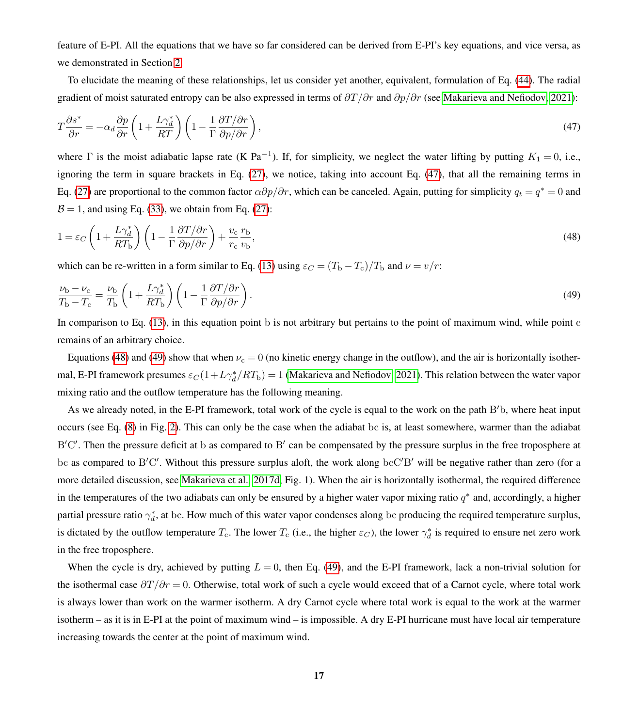feature of E-PI. All the equations that we have so far considered can be derived from E-PI's key equations, and vice versa, as we demonstrated in Section [2.](#page-3-0)

<span id="page-16-0"></span>To elucidate the meaning of these relationships, let us consider yet another, equivalent, formulation of Eq. [\(44\)](#page-15-1). The radial gradient of moist saturated entropy can be also expressed in terms of  $\partial T/\partial r$  and  $\partial p/\partial r$  (see [Makarieva and Nefiodov, 2021\)](#page-33-7):

$$
T\frac{\partial s^*}{\partial r} = -\alpha_d \frac{\partial p}{\partial r} \left( 1 + \frac{L\gamma_d^*}{RT} \right) \left( 1 - \frac{1}{\Gamma} \frac{\partial T/\partial r}{\partial p/\partial r} \right),\tag{47}
$$

where  $\Gamma$  is the moist adiabatic lapse rate (K Pa<sup>-1</sup>). If, for simplicity, we neglect the water lifting by putting  $K_1 = 0$ , i.e., ignoring the term in square brackets in Eq. [\(27\)](#page-10-2), we notice, taking into account Eq. [\(47\)](#page-16-0), that all the remaining terms in Eq. [\(27\)](#page-10-2) are proportional to the common factor  $\alpha \partial p/\partial r$ , which can be canceled. Again, putting for simplicity  $q_t = q^* = 0$  and  $\beta = 1$ , and using Eq. [\(33\)](#page-12-4), we obtain from Eq. [\(27\)](#page-10-2):

<span id="page-16-2"></span><span id="page-16-1"></span>
$$
1 = \varepsilon_C \left( 1 + \frac{L\gamma_d^*}{RT_{\rm b}} \right) \left( 1 - \frac{1}{\Gamma} \frac{\partial T/\partial r}{\partial p/\partial r} \right) + \frac{v_{\rm c}}{r_{\rm c}} \frac{r_{\rm b}}{v_{\rm b}},\tag{48}
$$

which can be re-written in a form similar to Eq. [\(13\)](#page-6-2) using  $\varepsilon_C = (T_{\rm b} - T_{\rm c})/T_{\rm b}$  and  $\nu = v/r$ :

$$
\frac{\nu_{\rm b} - \nu_{\rm c}}{T_{\rm b} - T_{\rm c}} = \frac{\nu_{\rm b}}{T_{\rm b}} \left( 1 + \frac{L\gamma_d^*}{RT_{\rm b}} \right) \left( 1 - \frac{1}{\Gamma} \frac{\partial T/\partial r}{\partial p/\partial r} \right). \tag{49}
$$

In comparison to Eq. [\(13\)](#page-6-2), in this equation point b is not arbitrary but pertains to the point of maximum wind, while point c remains of an arbitrary choice.

Equations [\(48\)](#page-16-1) and [\(49\)](#page-16-2) show that when  $\nu_c = 0$  (no kinetic energy change in the outflow), and the air is horizontally isothermal, E-PI framework presumes  $\varepsilon_C(1+L\gamma_d^*/RT_b) = 1$  [\(Makarieva and Nefiodov, 2021\)](#page-33-7). This relation between the water vapor mixing ratio and the outflow temperature has the following meaning.

As we already noted, in the E-PI framework, total work of the cycle is equal to the work on the path B'b, where heat input occurs (see Eq. [\(8\)](#page-5-3) in Fig. [2\)](#page-5-0). This can only be the case when the adiabat bc is, at least somewhere, warmer than the adiabat B'C'. Then the pressure deficit at b as compared to B' can be compensated by the pressure surplus in the free troposphere at bc as compared to B'C'. Without this pressure surplus aloft, the work along bcC'B' will be negative rather than zero (for a more detailed discussion, see [Makarieva et al., 2017d,](#page-33-12) Fig. 1). When the air is horizontally isothermal, the required difference in the temperatures of the two adiabats can only be ensured by a higher water vapor mixing ratio  $q^*$  and, accordingly, a higher partial pressure ratio  $\gamma_d^*$ , at bc. How much of this water vapor condenses along bc producing the required temperature surplus, is dictated by the outflow temperature  $T_c$ . The lower  $T_c$  (i.e., the higher  $\varepsilon_C$ ), the lower  $\gamma_d^*$  is required to ensure net zero work in the free troposphere.

When the cycle is dry, achieved by putting  $L = 0$ , then Eq. [\(49\)](#page-16-2), and the E-PI framework, lack a non-trivial solution for the isothermal case  $\frac{\partial T}{\partial r} = 0$ . Otherwise, total work of such a cycle would exceed that of a Carnot cycle, where total work is always lower than work on the warmer isotherm. A dry Carnot cycle where total work is equal to the work at the warmer isotherm – as it is in E-PI at the point of maximum wind – is impossible. A dry E-PI hurricane must have local air temperature increasing towards the center at the point of maximum wind.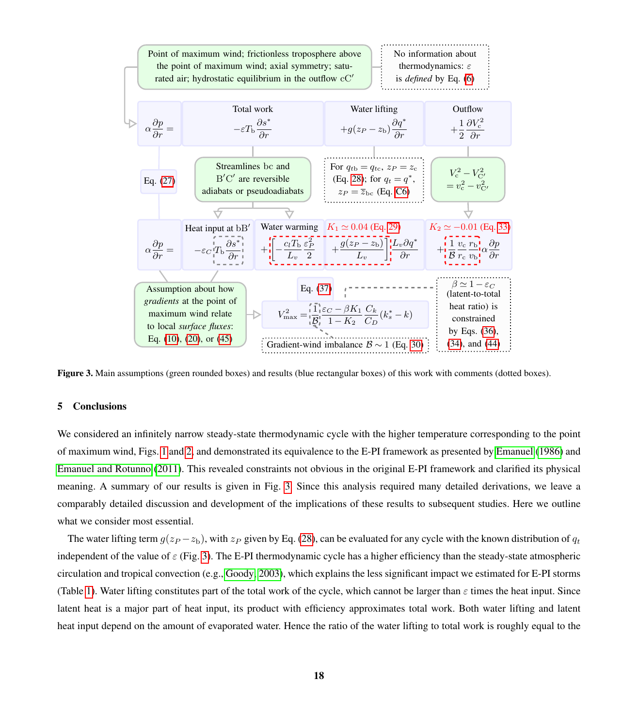<span id="page-17-0"></span>

Figure 3. Main assumptions (green rounded boxes) and results (blue rectangular boxes) of this work with comments (dotted boxes).

#### 5 Conclusions

We considered an infinitely narrow steady-state thermodynamic cycle with the higher temperature corresponding to the point of maximum wind, Figs. [1](#page-4-0) and [2,](#page-5-0) and demonstrated its equivalence to the E-PI framework as presented by [Emanuel](#page-32-7) [\(1986\)](#page-32-7) and [Emanuel and Rotunno](#page-32-6) [\(2011\)](#page-32-6). This revealed constraints not obvious in the original E-PI framework and clarified its physical meaning. A summary of our results is given in Fig. [3.](#page-17-0) Since this analysis required many detailed derivations, we leave a comparably detailed discussion and development of the implications of these results to subsequent studies. Here we outline what we consider most essential.

The water lifting term  $g(z_P - z_b)$ , with  $z_P$  given by Eq. [\(28\)](#page-10-1), can be evaluated for any cycle with the known distribution of  $q_t$ independent of the value of  $\varepsilon$  (Fig. [3\)](#page-17-0). The E-PI thermodynamic cycle has a higher efficiency than the steady-state atmospheric circulation and tropical convection (e.g., [Goody, 2003\)](#page-32-16), which explains the less significant impact we estimated for E-PI storms (Table [1\)](#page-1-0). Water lifting constitutes part of the total work of the cycle, which cannot be larger than  $\varepsilon$  times the heat input. Since latent heat is a major part of heat input, its product with efficiency approximates total work. Both water lifting and latent heat input depend on the amount of evaporated water. Hence the ratio of the water lifting to total work is roughly equal to the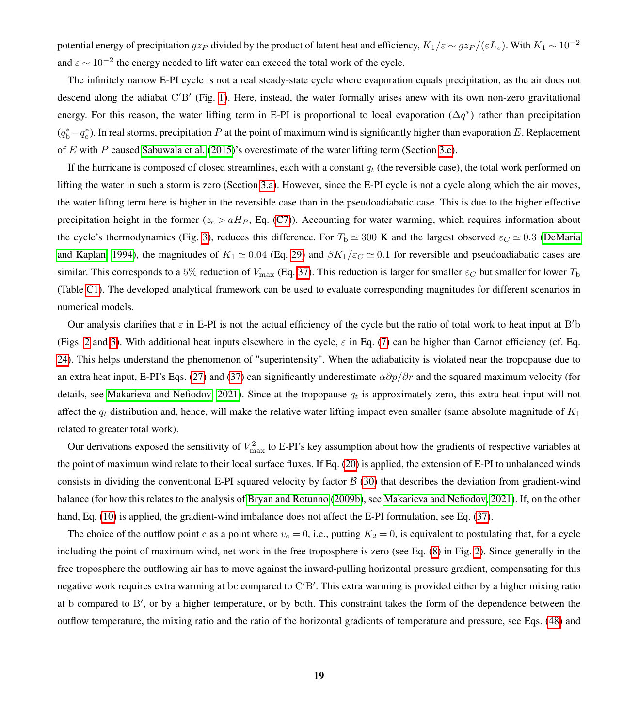potential energy of precipitation  $gz_P$  divided by the product of latent heat and efficiency,  $K_1/\varepsilon \sim gz_P/(\varepsilon L_v)$ . With  $K_1 \sim 10^{-2}$ and  $\varepsilon \sim 10^{-2}$  the energy needed to lift water can exceed the total work of the cycle.

The infinitely narrow E-PI cycle is not a real steady-state cycle where evaporation equals precipitation, as the air does not descend along the adiabat C'B' (Fig. [1\)](#page-4-0). Here, instead, the water formally arises anew with its own non-zero gravitational energy. For this reason, the water lifting term in E-PI is proportional to local evaporation ( $\Delta q^*$ ) rather than precipitation  $(q_b^* - q_c^*)$ . In real storms, precipitation P at the point of maximum wind is significantly higher than evaporation E. Replacement of E with P caused [Sabuwala et al.](#page-34-2) [\(2015\)](#page-34-2)'s overestimate of the water lifting term (Section [3.e\)](#page-12-6).

If the hurricane is composed of closed streamlines, each with a constant  $q_t$  (the reversible case), the total work performed on lifting the water in such a storm is zero (Section [3.a\)](#page-8-5). However, since the E-PI cycle is not a cycle along which the air moves, the water lifting term here is higher in the reversible case than in the pseudoadiabatic case. This is due to the higher effective precipitation height in the former ( $z_c > aH_P$ , Eq. [\(C7\)](#page-21-2)). Accounting for water warming, which requires information about the cycle's thermodynamics (Fig. [3\)](#page-17-0), reduces this difference. For  $T_b \simeq 300$  K and the largest observed  $\varepsilon_c \simeq 0.3$  [\(DeMaria](#page-32-17) [and Kaplan, 1994\)](#page-32-17), the magnitudes of  $K_1 \simeq 0.04$  (Eq. [29\)](#page-11-0) and  $\beta K_1/\varepsilon C \simeq 0.1$  for reversible and pseudoadiabatic cases are similar. This corresponds to a 5% reduction of  $V_{\rm max}$  (Eq. [37\)](#page-13-2). This reduction is larger for smaller  $\varepsilon_C$  but smaller for lower  $T_{\rm b}$ (Table [C1\)](#page-26-0). The developed analytical framework can be used to evaluate corresponding magnitudes for different scenarios in numerical models.

Our analysis clarifies that  $\varepsilon$  in E-PI is not the actual efficiency of the cycle but the ratio of total work to heat input at B'b (Figs. [2](#page-5-0) and [3\)](#page-17-0). With additional heat inputs elsewhere in the cycle,  $\varepsilon$  in Eq. [\(7\)](#page-5-6) can be higher than Carnot efficiency (cf. Eq. [24\)](#page-10-3). This helps understand the phenomenon of "superintensity". When the adiabaticity is violated near the tropopause due to an extra heat input, E-PI's Eqs. [\(27\)](#page-10-2) and [\(37\)](#page-13-2) can significantly underestimate  $\alpha \partial p/\partial r$  and the squared maximum velocity (for details, see [Makarieva and Nefiodov, 2021\)](#page-33-7). Since at the tropopause  $q_t$  is approximately zero, this extra heat input will not affect the  $q_t$  distribution and, hence, will make the relative water lifting impact even smaller (same absolute magnitude of  $K_1$ related to greater total work).

Our derivations exposed the sensitivity of  $V_{\text{max}}^2$  to E-PI's key assumption about how the gradients of respective variables at the point of maximum wind relate to their local surface fluxes. If Eq. [\(20\)](#page-8-1) is applied, the extension of E-PI to unbalanced winds consists in dividing the conventional E-PI squared velocity by factor  $\beta$  [\(30\)](#page-12-3) that describes the deviation from gradient-wind balance (for how this relates to the analysis of [Bryan and Rotunno](#page-32-9) [\(2009b\)](#page-32-9), see [Makarieva and Nefiodov, 2021\)](#page-33-7). If, on the other hand, Eq. [\(10\)](#page-6-4) is applied, the gradient-wind imbalance does not affect the E-PI formulation, see Eq. [\(37\)](#page-13-2).

The choice of the outflow point c as a point where  $v_c = 0$ , i.e., putting  $K_2 = 0$ , is equivalent to postulating that, for a cycle including the point of maximum wind, net work in the free troposphere is zero (see Eq. [\(8\)](#page-5-3) in Fig. [2\)](#page-5-0). Since generally in the free troposphere the outflowing air has to move against the inward-pulling horizontal pressure gradient, compensating for this negative work requires extra warming at bc compared to C'B'. This extra warming is provided either by a higher mixing ratio at b compared to B', or by a higher temperature, or by both. This constraint takes the form of the dependence between the outflow temperature, the mixing ratio and the ratio of the horizontal gradients of temperature and pressure, see Eqs. [\(48\)](#page-16-1) and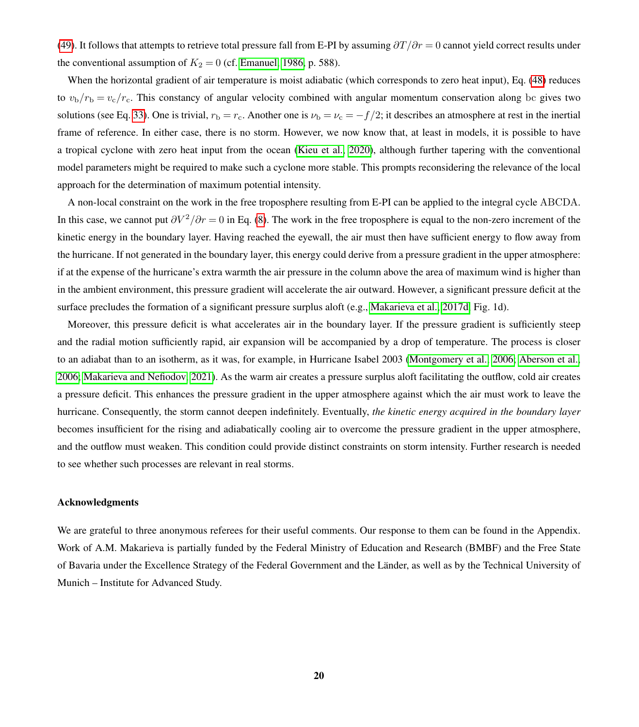[\(49\)](#page-16-2). It follows that attempts to retrieve total pressure fall from E-PI by assuming  $\partial T/\partial r = 0$  cannot yield correct results under the conventional assumption of  $K_2 = 0$  (cf. [Emanuel, 1986,](#page-32-7) p. 588).

When the horizontal gradient of air temperature is moist adiabatic (which corresponds to zero heat input), Eq. [\(48\)](#page-16-1) reduces to  $v_b/r_b = v_c/r_c$ . This constancy of angular velocity combined with angular momentum conservation along bc gives two solutions (see Eq. [33\)](#page-12-4). One is trivial,  $r_b = r_c$ . Another one is  $\nu_b = \nu_c = -f/2$ ; it describes an atmosphere at rest in the inertial frame of reference. In either case, there is no storm. However, we now know that, at least in models, it is possible to have a tropical cyclone with zero heat input from the ocean [\(Kieu et al., 2020\)](#page-33-13), although further tapering with the conventional model parameters might be required to make such a cyclone more stable. This prompts reconsidering the relevance of the local approach for the determination of maximum potential intensity.

A non-local constraint on the work in the free troposphere resulting from E-PI can be applied to the integral cycle ABCDA. In this case, we cannot put  $\partial V^2/\partial r = 0$  in Eq. [\(8\)](#page-5-3). The work in the free troposphere is equal to the non-zero increment of the kinetic energy in the boundary layer. Having reached the eyewall, the air must then have sufficient energy to flow away from the hurricane. If not generated in the boundary layer, this energy could derive from a pressure gradient in the upper atmosphere: if at the expense of the hurricane's extra warmth the air pressure in the column above the area of maximum wind is higher than in the ambient environment, this pressure gradient will accelerate the air outward. However, a significant pressure deficit at the surface precludes the formation of a significant pressure surplus aloft (e.g., [Makarieva et al., 2017d,](#page-33-12) Fig. 1d).

Moreover, this pressure deficit is what accelerates air in the boundary layer. If the pressure gradient is sufficiently steep and the radial motion sufficiently rapid, air expansion will be accompanied by a drop of temperature. The process is closer to an adiabat than to an isotherm, as it was, for example, in Hurricane Isabel 2003 [\(Montgomery et al., 2006;](#page-33-14) [Aberson et al.,](#page-32-18) [2006;](#page-32-18) [Makarieva and Nefiodov, 2021\)](#page-33-7). As the warm air creates a pressure surplus aloft facilitating the outflow, cold air creates a pressure deficit. This enhances the pressure gradient in the upper atmosphere against which the air must work to leave the hurricane. Consequently, the storm cannot deepen indefinitely. Eventually, *the kinetic energy acquired in the boundary layer* becomes insufficient for the rising and adiabatically cooling air to overcome the pressure gradient in the upper atmosphere, and the outflow must weaken. This condition could provide distinct constraints on storm intensity. Further research is needed to see whether such processes are relevant in real storms.

#### Acknowledgments

We are grateful to three anonymous referees for their useful comments. Our response to them can be found in the Appendix. Work of A.M. Makarieva is partially funded by the Federal Ministry of Education and Research (BMBF) and the Free State of Bavaria under the Excellence Strategy of the Federal Government and the Länder, as well as by the Technical University of Munich – Institute for Advanced Study.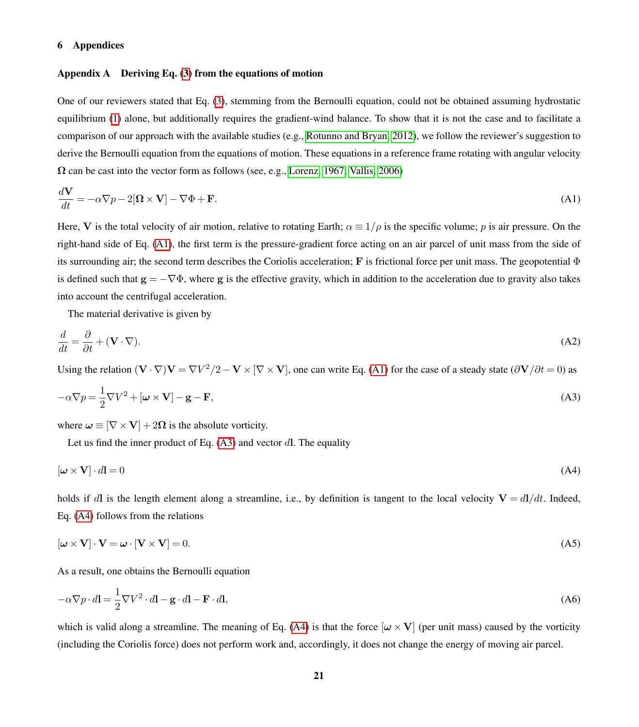## 6 Appendices

## <span id="page-20-0"></span>Appendix A Deriving Eq.  $(3)$  from the equations of motion

One of our reviewers stated that Eq. [\(3\)](#page-5-1), stemming from the Bernoulli equation, could not be obtained assuming hydrostatic equilibrium [\(1\)](#page-3-1) alone, but additionally requires the gradient-wind balance. To show that it is not the case and to facilitate a comparison of our approach with the available studies (e.g., [Rotunno and Bryan, 2012\)](#page-34-8), we follow the reviewer's suggestion to derive the Bernoulli equation from the equations of motion. These equations in a reference frame rotating with angular velocity  $\Omega$  can be cast into the vector form as follows (see, e.g., [Lorenz, 1967;](#page-33-15) [Vallis, 2006\)](#page-34-9)

<span id="page-20-3"></span>
$$
\frac{d\mathbf{V}}{dt} = -\alpha \nabla p - 2[\mathbf{\Omega} \times \mathbf{V}] - \nabla \Phi + \mathbf{F}.\tag{A1}
$$

Here, V is the total velocity of air motion, relative to rotating Earth;  $\alpha \equiv 1/\rho$  is the specific volume; p is air pressure. On the right-hand side of Eq. [\(A1\)](#page-20-3), the first term is the pressure-gradient force acting on an air parcel of unit mass from the side of its surrounding air; the second term describes the Coriolis acceleration; F is frictional force per unit mass. The geopotential  $\Phi$ is defined such that  $g = -\nabla \Phi$ , where g is the effective gravity, which in addition to the acceleration due to gravity also takes into account the centrifugal acceleration.

<span id="page-20-6"></span><span id="page-20-4"></span>The material derivative is given by

$$
\frac{d}{dt} = \frac{\partial}{\partial t} + (\mathbf{V} \cdot \nabla). \tag{A2}
$$

Using the relation  $(V \cdot \nabla)V = \nabla V^2/2 - V \times [\nabla \times V]$ , one can write Eq. [\(A1\)](#page-20-3) for the case of a steady state  $(\partial V/\partial t = 0)$  as

$$
-\alpha \nabla p = \frac{1}{2} \nabla V^2 + [\boldsymbol{\omega} \times \mathbf{V}] - \mathbf{g} - \mathbf{F},
$$
\n(A3)

where  $\omega \equiv [\nabla \times V] + 2\Omega$  is the absolute vorticity.

<span id="page-20-5"></span>Let us find the inner product of Eq.  $(A3)$  and vector dl. The equality

$$
[\boldsymbol{\omega} \times \mathbf{V}] \cdot d\mathbf{l} = 0 \tag{A4}
$$

<span id="page-20-2"></span>holds if dl is the length element along a streamline, i.e., by definition is tangent to the local velocity  $V = dI/dt$ . Indeed, Eq. [\(A4\)](#page-20-5) follows from the relations

$$
[\boldsymbol{\omega} \times \mathbf{V}] \cdot \mathbf{V} = \boldsymbol{\omega} \cdot [\mathbf{V} \times \mathbf{V}] = 0. \tag{A5}
$$

<span id="page-20-1"></span>As a result, one obtains the Bernoulli equation

$$
-\alpha \nabla p \cdot d\mathbf{l} = \frac{1}{2} \nabla V^2 \cdot d\mathbf{l} - \mathbf{g} \cdot d\mathbf{l} - \mathbf{F} \cdot d\mathbf{l},\tag{A6}
$$

which is valid along a streamline. The meaning of Eq. [\(A4\)](#page-20-5) is that the force  $[\omega \times V]$  (per unit mass) caused by the vorticity (including the Coriolis force) does not perform work and, accordingly, it does not change the energy of moving air parcel.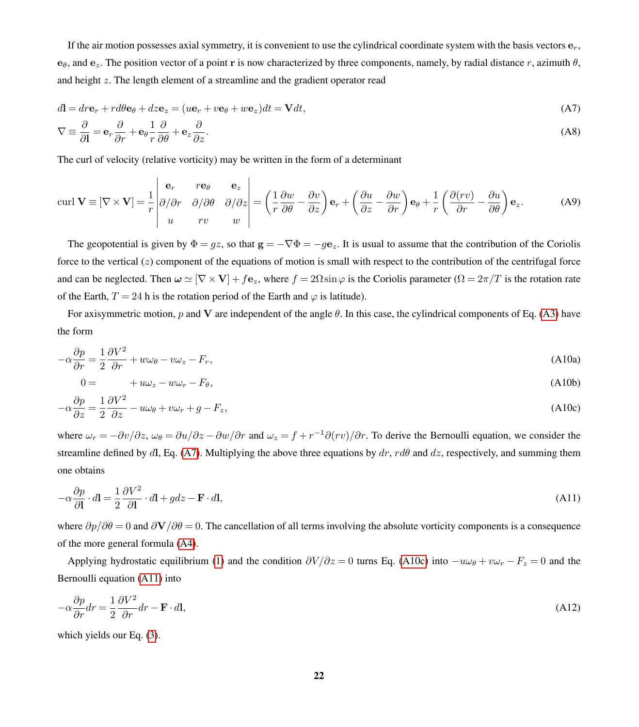If the air motion possesses axial symmetry, it is convenient to use the cylindrical coordinate system with the basis vectors  $e_r$ , e<sub>θ</sub>, and e<sub>z</sub>. The position vector of a point r is now characterized by three components, namely, by radial distance r, azimuth  $\theta$ . and height z. The length element of a streamline and the gradient operator read

<span id="page-21-6"></span><span id="page-21-2"></span>
$$
d\mathbf{l} = dr\mathbf{e}_r + rd\theta\mathbf{e}_\theta + dz\mathbf{e}_z = (u\mathbf{e}_r + v\mathbf{e}_\theta + w\mathbf{e}_z)dt = \mathbf{V}dt,\tag{A7}
$$

<span id="page-21-4"></span>
$$
\nabla \equiv \frac{\partial}{\partial \mathbf{l}} = \mathbf{e}_r \frac{\partial}{\partial r} + \mathbf{e}_\theta \frac{1}{r} \frac{\partial}{\partial \theta} + \mathbf{e}_z \frac{\partial}{\partial z}.
$$
 (A8)

The curl of velocity (relative vorticity) may be written in the form of a determinant

$$
\text{curl } \mathbf{V} \equiv [\nabla \times \mathbf{V}] = \frac{1}{r} \begin{vmatrix} \mathbf{e}_r & r\mathbf{e}_\theta & \mathbf{e}_z \\ \partial/\partial r & \partial/\partial \theta & \partial/\partial z \\ u & rv & w \end{vmatrix} = \left(\frac{1}{r}\frac{\partial w}{\partial \theta} - \frac{\partial v}{\partial z}\right)\mathbf{e}_r + \left(\frac{\partial u}{\partial z} - \frac{\partial w}{\partial r}\right)\mathbf{e}_\theta + \frac{1}{r}\left(\frac{\partial (rv)}{\partial r} - \frac{\partial u}{\partial \theta}\right)\mathbf{e}_z. \tag{A9}
$$

The geopotential is given by  $\Phi = gz$ , so that  $g = -\nabla \Phi = -ge_z$ . It is usual to assume that the contribution of the Coriolis force to the vertical  $(z)$  component of the equations of motion is small with respect to the contribution of the centrifugal force and can be neglected. Then  $\omega \simeq [\nabla \times \mathbf{V}] + f \mathbf{e}_z$ , where  $f = 2\Omega \sin \varphi$  is the Coriolis parameter  $(\Omega = 2\pi/T)$  is the rotation rate of the Earth,  $T = 24$  h is the rotation period of the Earth and  $\varphi$  is latitude).

<span id="page-21-0"></span>For axisymmetric motion, p and V are independent of the angle  $\theta$ . In this case, the cylindrical components of Eq. [\(A3\)](#page-20-4) have the form

$$
-\alpha \frac{\partial p}{\partial r} = \frac{1}{2} \frac{\partial V^2}{\partial r} + w\omega_\theta - w\omega_z - F_r,
$$
\n(A10a)

<span id="page-21-3"></span>
$$
0 = +u\omega_z - w\omega_r - F_\theta, \tag{A10b}
$$

$$
-\alpha \frac{\partial p}{\partial z} = \frac{1}{2} \frac{\partial V^2}{\partial z} - u\omega_\theta + v\omega_r + g - F_z,
$$
\n(A10c)

<span id="page-21-1"></span>where  $\omega_r = -\frac{\partial v}{\partial z}$ ,  $\omega_\theta = \frac{\partial u}{\partial z} - \frac{\partial w}{\partial r}$  and  $\omega_z = f + r^{-1}\frac{\partial (rv)}{\partial r}$ . To derive the Bernoulli equation, we consider the streamline defined by dl, Eq. [\(A7\)](#page-21-2). Multiplying the above three equations by  $dr$ ,  $rd\theta$  and dz, respectively, and summing them one obtains

$$
-\alpha \frac{\partial p}{\partial \mathbf{l}} \cdot d\mathbf{l} = \frac{1}{2} \frac{\partial V^2}{\partial \mathbf{l}} \cdot d\mathbf{l} + g dz - \mathbf{F} \cdot d\mathbf{l},\tag{A11}
$$

where  $\partial p/\partial \theta = 0$  and  $\partial \mathbf{V}/\partial \theta = 0$ . The cancellation of all terms involving the absolute vorticity components is a consequence of the more general formula [\(A4\)](#page-20-5).

<span id="page-21-5"></span>Applying hydrostatic equilibrium [\(1\)](#page-3-1) and the condition  $\partial V/\partial z = 0$  turns Eq. [\(A10c\)](#page-21-3) into  $-u\omega_{\theta} + v\omega_{r} - F_{z} = 0$  and the Bernoulli equation [\(A11\)](#page-21-1) into

$$
-\alpha \frac{\partial p}{\partial r} dr = \frac{1}{2} \frac{\partial V^2}{\partial r} dr - \mathbf{F} \cdot d\mathbf{l},\tag{A12}
$$

which yields our Eq. [\(3\)](#page-5-1).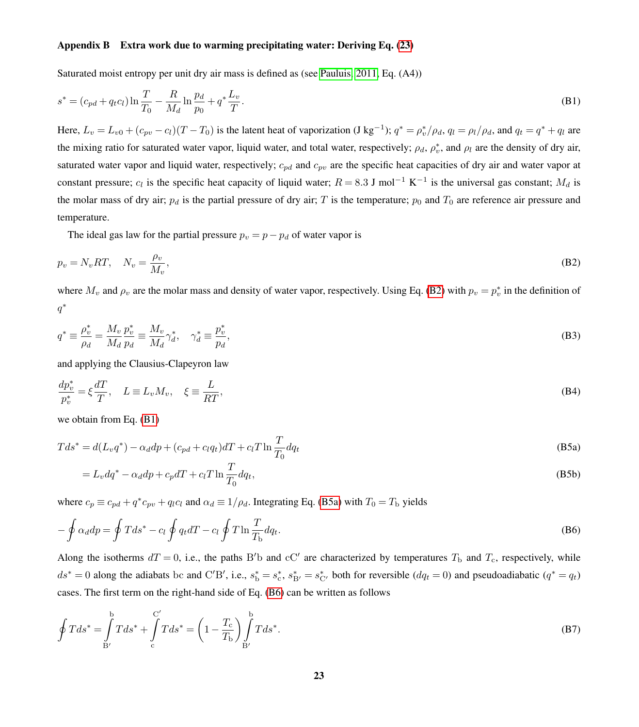### <span id="page-22-0"></span>Appendix B Extra work due to warming precipitating water: Deriving Eq. [\(23\)](#page-9-0)

Saturated moist entropy per unit dry air mass is defined as (see [Pauluis, 2011,](#page-34-5) Eq. (A4))

$$
s^* = (c_{pd} + q_t c_l) \ln \frac{T}{T_0} - \frac{R}{M_d} \ln \frac{p_d}{p_0} + q^* \frac{L_v}{T}.
$$
 (B1)

Here,  $L_v = L_{v0} + (c_{pv} - c_l)(T - T_0)$  is the latent heat of vaporization (J kg<sup>-1</sup>);  $q^* = \rho_v^* / \rho_d$ ,  $q_l = \rho_l / \rho_d$ , and  $q_t = q^* + q_l$  are the mixing ratio for saturated water vapor, liquid water, and total water, respectively;  $\rho_d$ ,  $\rho_v^*$ , and  $\rho_l$  are the density of dry air, saturated water vapor and liquid water, respectively;  $c_{pd}$  and  $c_{pv}$  are the specific heat capacities of dry air and water vapor at constant pressure;  $c_l$  is the specific heat capacity of liquid water;  $R = 8.3$  J mol<sup>-1</sup> K<sup>-1</sup> is the universal gas constant;  $M_d$  is the molar mass of dry air;  $p_d$  is the partial pressure of dry air; T is the temperature;  $p_0$  and  $T_0$  are reference air pressure and temperature.

The ideal gas law for the partial pressure  $p_v = p - p_d$  of water vapor is

$$
p_v = N_v RT, \quad N_v = \frac{\rho_v}{M_v},\tag{B2}
$$

where  $M_v$  and  $\rho_v$  are the molar mass and density of water vapor, respectively. Using Eq. [\(B2\)](#page-20-6) with  $p_v = p_v^*$  in the definition of  $q^*$ 

$$
q^* \equiv \frac{\rho_v^*}{\rho_d} = \frac{M_v}{M_d} \frac{p_v^*}{p_d} \equiv \frac{M_v}{M_d} \gamma_d^*, \quad \gamma_d^* \equiv \frac{p_v^*}{p_d},\tag{B3}
$$

and applying the Clausius-Clapeyron law

$$
\frac{dp_v^*}{p_v^*} = \xi \frac{dT}{T}, \quad L \equiv L_v M_v, \quad \xi \equiv \frac{L}{RT},
$$
\n(B4)

we obtain from Eq. [\(B1\)](#page-20-3)

$$
Tds^* = d(L_v q^*) - \alpha_d dp + (c_{pd} + c_l q_t) dT + c_l T \ln \frac{T}{T_0} dq_t
$$
\n(B5a)

<span id="page-22-2"></span><span id="page-22-1"></span>
$$
=L_v dq^* - \alpha_d dp + c_p dT + c_l T \ln \frac{T}{T_0} dq_t,
$$
\n(B5b)

where  $c_p \equiv c_{pd} + q^* c_{pv} + q_l c_l$  and  $\alpha_d \equiv 1/\rho_d$ . Integrating Eq. [\(B5a\)](#page-22-1) with  $T_0 = T_b$  yields

$$
-\oint \alpha_d dp = \oint T ds^* - c_l \oint q_t dT - c_l \oint T \ln \frac{T}{T_b} dq_t.
$$
 (B6)

Along the isotherms  $dT = 0$ , i.e., the paths B'b and cC' are characterized by temperatures  $T<sub>b</sub>$  and  $T<sub>c</sub>$ , respectively, while  $ds^* = 0$  along the adiabats bc and C'B', i.e.,  $s_b^* = s_c^*$ ,  $s_{B'}^* = s_{C'}^*$  both for reversible  $(dq_t = 0)$  and pseudoadiabatic  $(q^* = q_t)$ cases. The first term on the right-hand side of Eq. [\(B6\)](#page-20-1) can be written as follows

$$
\oint T ds^* = \int_{B'}^{b} T ds^* + \int_{c}^{C'} T ds^* = \left(1 - \frac{T_c}{T_b}\right) \int_{B'}^{b} T ds^*.
$$
\n(B7)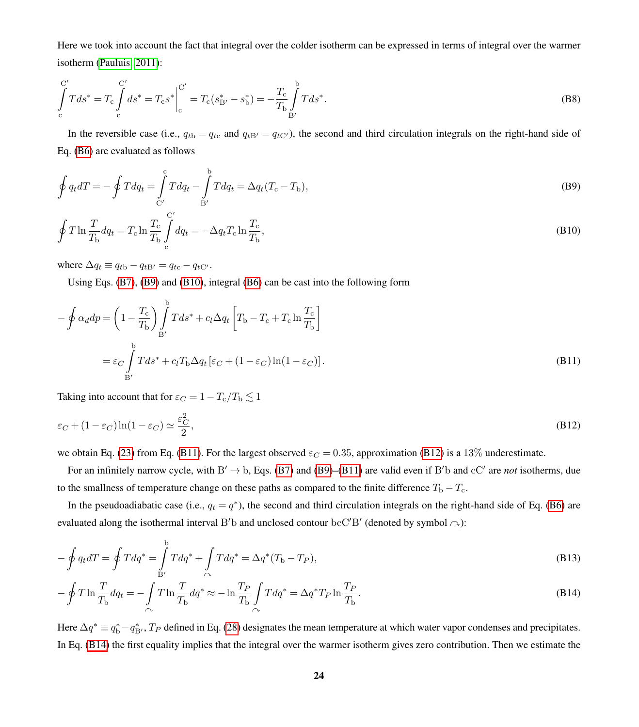Here we took into account the fact that integral over the colder isotherm can be expressed in terms of integral over the warmer isotherm [\(Pauluis, 2011\)](#page-34-5):

$$
\int_{c}^{C'} T ds^* = T_c \int_{c}^{C'} ds^* = T_c s^* \Big|_{c}^{C'} = T_c (s_{\rm B'}^* - s_{\rm b}^*) = -\frac{T_c}{T_{\rm b}} \int_{B'}^{b} T ds^*.
$$
\n(B8)

In the reversible case (i.e.,  $q_{tb} = q_{tc}$  and  $q_{tB'} = q_{tC'}$ ), the second and third circulation integrals on the right-hand side of Eq. [\(B6\)](#page-20-1) are evaluated as follows

$$
\oint q_t dT = -\oint T dq_t = \int_{C'}^{C} T dq_t - \int_{B'}^{D} T dq_t = \Delta q_t (T_c - T_b),
$$
\n(B9)

$$
\oint T \ln \frac{T}{T_{\rm b}} dq_t = T_{\rm c} \ln \frac{T_{\rm c}}{T_{\rm b}} \int_{\rm c}^{C'} dq_t = -\Delta q_t T_{\rm c} \ln \frac{T_{\rm c}}{T_{\rm b}},\tag{B10}
$$

where  $\Delta q_t \equiv q_{tb} - q_{tB'} = q_{tc} - q_{tC'}$ .

Using Eqs. [\(B7\)](#page-21-2), [\(B9\)](#page-21-4) and [\(B10\)](#page-21-0), integral [\(B6\)](#page-20-1) can be cast into the following form

$$
-\oint \alpha_d dp = \left(1 - \frac{T_c}{T_b}\right) \int_{B'}^{b} T ds^* + c_l \Delta q_t \left[T_b - T_c + T_c \ln \frac{T_c}{T_b}\right]
$$

$$
= \varepsilon_C \int_{B'}^{b} T ds^* + c_l T_b \Delta q_t \left[\varepsilon_C + (1 - \varepsilon_C) \ln(1 - \varepsilon_C)\right].
$$
(B11)

Taking into account that for  $\varepsilon_C = 1 - T_c/T_b \lesssim 1$ .

$$
\varepsilon_C + (1 - \varepsilon_C) \ln(1 - \varepsilon_C) \simeq \frac{\varepsilon_C^2}{2},\tag{B12}
$$

we obtain Eq. [\(23\)](#page-9-0) from Eq. [\(B11\)](#page-21-1). For the largest observed  $\varepsilon_C = 0.35$ , approximation [\(B12\)](#page-21-5) is a 13% underestimate.

For an infinitely narrow cycle, with  $B' \to b$ , Eqs. [\(B7\)](#page-21-2) and [\(B9\)](#page-21-4)–[\(B11\)](#page-21-1) are valid even if B'b and cC' are *not* isotherms, due to the smallness of temperature change on these paths as compared to the finite difference  $T_{\rm b} - T_{\rm c}$ .

In the pseudoadiabatic case (i.e.,  $q_t = q^*$ ), the second and third circulation integrals on the right-hand side of Eq. [\(B6\)](#page-20-1) are evaluated along the isothermal interval B'b and unclosed contour  $bcC'B'$  (denoted by symbol  $\sim$ ):

<span id="page-23-1"></span>
$$
-\oint q_t dT = \oint T dq^* = \int_{B'}^{b} T dq^* + \int_{\curvearrowright} T dq^* = \Delta q^* (T_b - T_P),
$$
\n(B13)

<span id="page-23-0"></span>
$$
-\oint T \ln \frac{T}{T_{\rm b}} dq_t = -\int_{\curvearrowright} T \ln \frac{T}{T_{\rm b}} dq^* \approx -\ln \frac{T_P}{T_{\rm b}} \int_{\curvearrowright} T dq^* = \Delta q^* T_P \ln \frac{T_P}{T_{\rm b}}.
$$
\n(B14)

Here  $\Delta q^* \equiv q_{\rm b}^* - q_{\rm B'}^*$ ,  $T_P$  defined in Eq. [\(28\)](#page-10-1) designates the mean temperature at which water vapor condenses and precipitates. In Eq. [\(B14\)](#page-23-0) the first equality implies that the integral over the warmer isotherm gives zero contribution. Then we estimate the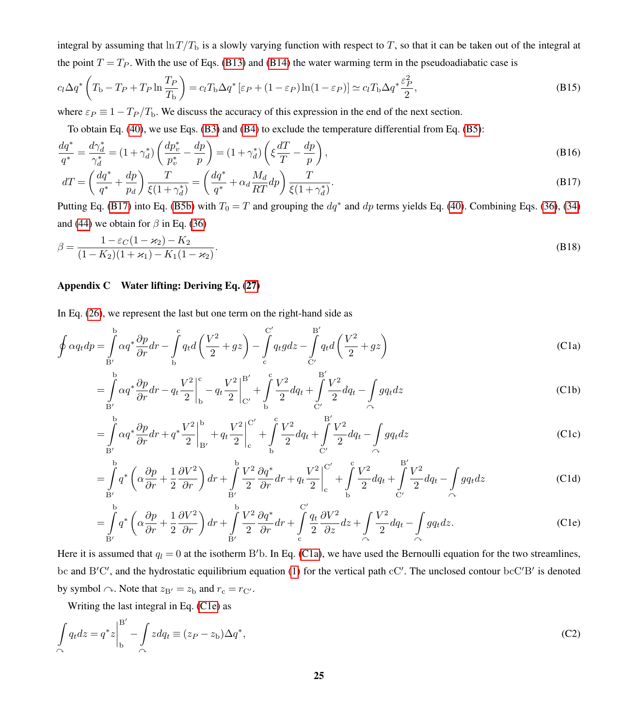integral by assuming that  $\ln T/T_{\rm b}$  is a slowly varying function with respect to T, so that it can be taken out of the integral at the point  $T = T_P$ . With the use of Eqs. [\(B13\)](#page-23-1) and [\(B14\)](#page-23-0) the water warming term in the pseudoadiabatic case is

$$
c_l \Delta q^* \left( T_{\rm b} - T_P + T_P \ln \frac{T_P}{T_{\rm b}} \right) = c_l T_{\rm b} \Delta q^* \left[ \varepsilon_P + (1 - \varepsilon_P) \ln(1 - \varepsilon_P) \right] \simeq c_l T_{\rm b} \Delta q^* \frac{\varepsilon_P^2}{2},\tag{B15}
$$

where  $\varepsilon_P \equiv 1 - T_P/T_b$ . We discuss the accuracy of this expression in the end of the next section.

<span id="page-24-1"></span>To obtain Eq. [\(40\)](#page-14-3), we use Eqs. [\(B3\)](#page-20-4) and [\(B4\)](#page-20-5) to exclude the temperature differential from Eq. [\(B5\)](#page-20-2):

$$
\frac{dq^*}{q^*} = \frac{d\gamma_d^*}{\gamma_d^*} = (1 + \gamma_d^*) \left( \frac{dp_v^*}{p_v^*} - \frac{dp}{p} \right) = (1 + \gamma_d^*) \left( \xi \frac{dT}{T} - \frac{dp}{p} \right),\tag{B16}
$$

$$
dT = \left(\frac{dq^*}{q^*} + \frac{dp}{p_d}\right) \frac{T}{\xi(1+\gamma_d^*)} = \left(\frac{dq^*}{q^*} + \alpha_d \frac{M_d}{RT} dp\right) \frac{T}{\xi(1+\gamma_d^*)}.
$$
\n(B17)

<span id="page-24-2"></span>Putting Eq. [\(B17\)](#page-24-1) into Eq. [\(B5b\)](#page-22-2) with  $T_0 = T$  and grouping the  $dq^*$  and  $dp$  terms yields Eq. [\(40\)](#page-14-3). Combining Eqs. [\(36\)](#page-13-0), [\(34\)](#page-12-2) and [\(44\)](#page-15-1) we obtain for  $\beta$  in Eq. [\(36\)](#page-13-0)

$$
\beta = \frac{1 - \varepsilon_C (1 - \varkappa_2) - K_2}{(1 - K_2)(1 + \varkappa_1) - K_1 (1 - \varkappa_2)}.
$$
\n(B18)

### <span id="page-24-0"></span>Appendix C Water lifting: Deriving Eq. [\(27\)](#page-10-2)

In Eq. [\(26\)](#page-10-0), we represent the last but one term on the right-hand side as

$$
\oint \alpha q_t dp = \int_{B'}^{b} \alpha q^* \frac{\partial p}{\partial r} dr - \int_{b}^{c} q_t d\left(\frac{V^2}{2} + gz\right) - \int_{c}^{C'} q_t g dz - \int_{C'}^{B'} q_t d\left(\frac{V^2}{2} + gz\right)
$$
\n(C1a)

<span id="page-24-3"></span>
$$
= \int_{B'}^{b} \alpha q^* \frac{\partial p}{\partial r} dr - q_t \frac{V^2}{2} \Big|_{b}^{c} - q_t \frac{V^2}{2} \Big|_{C'}^{B'} + \int_{b}^{c} \frac{V^2}{2} dq_t + \int_{C'}^{B'} \frac{V^2}{2} dq_t - \int_{C'} g q_t dz
$$
 (C1b)

$$
= \int_{B'}^{b} \alpha q^* \frac{\partial p}{\partial r} dr + q^* \frac{V^2}{2} \Big|_{B'}^{b} + q_t \frac{V^2}{2} \Big|_{c}^{C'} + \int_{b}^{c} \frac{V^2}{2} dq_t + \int_{C'}^{B'} \frac{V^2}{2} dq_t - \int_{C'} g q_t dz
$$
 (C1c)

$$
= \int_{B'}^{b} q^* \left( \alpha \frac{\partial p}{\partial r} + \frac{1}{2} \frac{\partial V^2}{\partial r} \right) dr + \int_{B'}^{b} \frac{V^2}{2} \frac{\partial q^*}{\partial r} dr + q_t \frac{V^2}{2} \Big|_{c}^{c'} + \int_{b}^{c} \frac{V^2}{2} dq_t + \int_{C'}^{B'} \frac{V^2}{2} dq_t - \int_{C'} g q_t dz
$$
 (C1d)

<span id="page-24-4"></span>
$$
= \int_{B'}^{b} q^* \left( \alpha \frac{\partial p}{\partial r} + \frac{1}{2} \frac{\partial V^2}{\partial r} \right) dr + \int_{B'}^{b} \frac{V^2}{2} \frac{\partial q^*}{\partial r} dr + \int_{c}^{C'} \frac{q_t}{2} \frac{\partial V^2}{\partial z} dz + \int_{\alpha} \frac{V^2}{2} dq_t - \int_{\alpha} g q_t dz.
$$
 (C1e)

Here it is assumed that  $q_l = 0$  at the isotherm B'b. In Eq. [\(C1a\)](#page-24-3), we have used the Bernoulli equation for the two streamlines, bc and B'C', and the hydrostatic equilibrium equation [\(1\)](#page-3-1) for the vertical path cC'. The unclosed contour bcC'B' is denoted by symbol  $\sim$ . Note that  $z_{B'} = z_b$  and  $r_c = r_{C'}$ .

Writing the last integral in Eq. [\(C1e\)](#page-24-4) as

$$
\int_{\alpha} q_t dz = q^* z \Big|_{\text{b}}^{\text{B}'} - \int_{\alpha} z dq_t \equiv (z_P - z_{\text{b}}) \Delta q^*,\tag{C2}
$$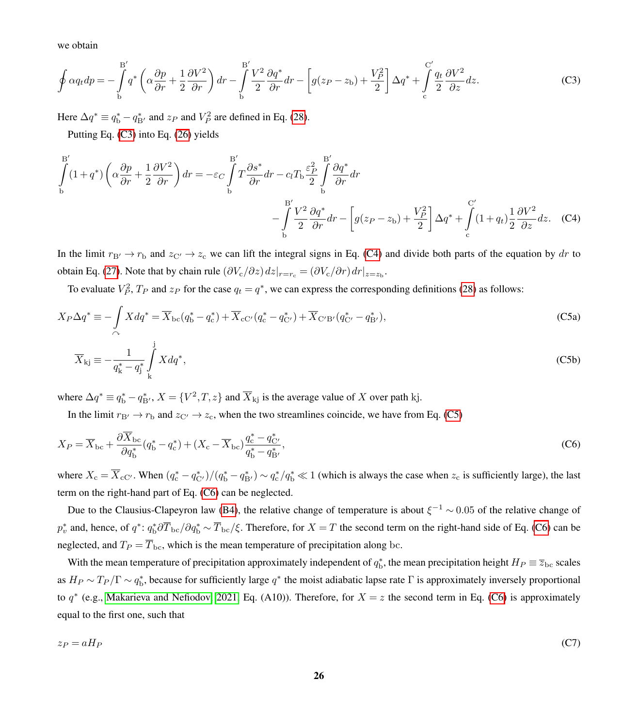we obtain

$$
\oint \alpha q_t dp = -\int\limits_{\text{b}}^{\text{B}'} q^* \left( \alpha \frac{\partial p}{\partial r} + \frac{1}{2} \frac{\partial V^2}{\partial r} \right) dr - \int\limits_{\text{b}}^{\text{B}'} \frac{V^2}{2} \frac{\partial q^*}{\partial r} dr - \left[ g(z_P - z_\text{b}) + \frac{V_P^2}{2} \right] \Delta q^* + \int\limits_{\text{c}}^{\text{C}'} \frac{q_t}{2} \frac{\partial V^2}{\partial z} dz.
$$
 (C3)

Here  $\Delta q^* \equiv q_{\rm b}^* - q_{\rm B'}^*$  and  $z_P$  and  $V_P^2$  are defined in Eq. [\(28\)](#page-10-1).

Putting Eq. [\(C3\)](#page-20-4) into Eq. [\(26\)](#page-10-0) yields

$$
\int_{b}^{B'} (1+q^*) \left( \alpha \frac{\partial p}{\partial r} + \frac{1}{2} \frac{\partial V^2}{\partial r} \right) dr = -\varepsilon_C \int_{b}^{B'} T \frac{\partial s^*}{\partial r} dr - c_l T_b \frac{\varepsilon_P^2}{2} \int_{b}^{B'} \frac{\partial q^*}{\partial r} dr - \left[ g(z_P - z_b) + \frac{V_P^2}{2} \right] \Delta q^* + \int_{c}^{C'} (1+q_t) \frac{1}{2} \frac{\partial V^2}{\partial z} dz.
$$
 (C4)

In the limit  $r_{\rm B}$   $\rightarrow$   $r_{\rm b}$  and  $z_{\rm C}$   $\rightarrow$   $z_{\rm c}$  we can lift the integral signs in Eq. [\(C4\)](#page-20-5) and divide both parts of the equation by dr to obtain Eq. [\(27\)](#page-10-2). Note that by chain rule  $(\partial V_c/\partial z) dz|_{r=r_c} = (\partial V_c/\partial r) dr|_{z=z_b}$ .

To evaluate  $V_P^2$ ,  $T_P$  and  $z_P$  for the case  $q_t = q^*$ , we can express the corresponding definitions [\(28\)](#page-10-1) as follows:

$$
X_P \Delta q^* \equiv -\int\limits_{\sim} X d q^* = \overline{X}_{bc} (q_b^* - q_c^*) + \overline{X}_{cC'} (q_c^* - q_{C'}^*) + \overline{X}_{C'B'} (q_{C'}^* - q_{B'}^*),
$$
\n(C5a)\n
$$
\overline{X}_{kj} \equiv -\frac{1}{q_k^* - q_j^*} \int\limits_{\mathbf{k}}^{\mathbf{j}} X d q^*,
$$
\n(C5b)

where  $\Delta q^* \equiv q_b^* - q_{\rm B'}^*$ ,  $X = \{V^2, T, z\}$  and  $\overline{X}_{\rm kj}$  is the average value of X over path kj.

In the limit  $r_{\rm B}$   $\rightarrow$   $r_{\rm b}$  and  $z_{\rm C}$   $\rightarrow$   $z_{\rm c}$ , when the two streamlines coincide, we have from Eq. [\(C5\)](#page-20-2)

$$
X_P = \overline{X}_{bc} + \frac{\partial \overline{X}_{bc}}{\partial q_b^*} (q_b^* - q_c^*) + (X_c - \overline{X}_{bc}) \frac{q_c^* - q_{C'}^*}{q_b^* - q_{B'}^*},\tag{C6}
$$

where  $X_c = \overline{X}_{cC'}$ . When  $(q_c^* - q_{C'}^*)/(q_b^* - q_{B'}^*) \sim q_c^* / q_b^* \ll 1$  (which is always the case when  $z_c$  is sufficiently large), the last term on the right-hand part of Eq. [\(C6\)](#page-20-1) can be neglected.

Due to the Clausius-Clapeyron law [\(B4\)](#page-20-5), the relative change of temperature is about  $\xi^{-1} \sim 0.05$  of the relative change of  $p_v^*$  and, hence, of  $q^*: q_b^* \partial \overline{T}_{bc} / \partial q_b^* \sim \overline{T}_{bc} / \xi$ . Therefore, for  $X = T$  the second term on the right-hand side of Eq. [\(C6\)](#page-20-1) can be neglected, and  $T_P = \overline{T}_{bc}$ , which is the mean temperature of precipitation along bc.

With the mean temperature of precipitation approximately independent of  $q_b^*$ , the mean precipitation height  $H_P \equiv \overline{z}_{bc}$  scales as  $H_P \sim T_P/\Gamma \sim q_b^*$ , because for sufficiently large  $q^*$  the moist adiabatic lapse rate  $\Gamma$  is approximately inversely proportional to  $q^*$  (e.g., [Makarieva and Nefiodov, 2021,](#page-33-7) Eq. (A10)). Therefore, for  $X = z$  the second term in Eq. [\(C6\)](#page-20-1) is approximately equal to the first one, such that

$$
z_P = aH_P \tag{C7}
$$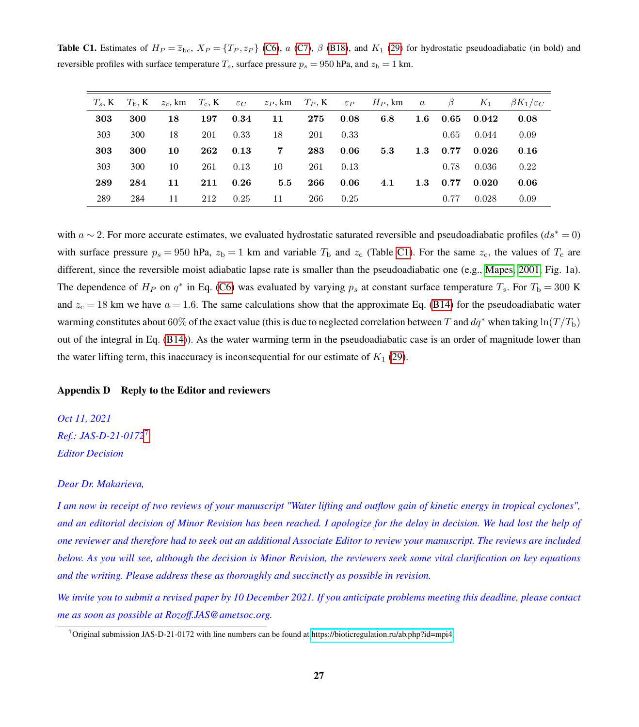<span id="page-26-0"></span>**Table C1.** Estimates of  $H_P = \overline{z}_{bc}$ ,  $X_P = \{T_P, z_P\}$  [\(C6\)](#page-20-1), a [\(C7\)](#page-21-2),  $\beta$  [\(B18\)](#page-24-2), and  $K_1$  [\(29\)](#page-11-0) for hydrostatic pseudoadiabatic (in bold) and reversible profiles with surface temperature  $T_s$ , surface pressure  $p_s = 950$  hPa, and  $z_b = 1$  km.

| $T_s$ , K | $T_{\rm b}$ , K | $z_c$ , km $T_c$ , K |     | $\varepsilon_C$ | $z_P$ , km $T_P$ , K |     | $\varepsilon_P$ | $H_P$ , km | $\overline{a}$   | $\beta$ | $K_1$ | $\beta K_1/\varepsilon_C$ |
|-----------|-----------------|----------------------|-----|-----------------|----------------------|-----|-----------------|------------|------------------|---------|-------|---------------------------|
| 303       | 300             | 18                   | 197 | 0.34            | 11                   | 275 | 0.08            | 6.8        | $1.6\phantom{0}$ | 0.65    | 0.042 | 0.08                      |
| 303       | 300             | 18                   | 201 | 0.33            | 18                   | 201 | 0.33            |            |                  | 0.65    | 0.044 | 0.09                      |
| 303       | 300             | 10                   | 262 | 0.13            | 7                    | 283 | 0.06            | 5.3        | 1.3              | 0.77    | 0.026 | 0.16                      |
| 303       | 300             | 10                   | 261 | 0.13            | 10                   | 261 | 0.13            |            |                  | 0.78    | 0.036 | 0.22                      |
| 289       | 284             | 11                   | 211 | 0.26            | 5.5                  | 266 | 0.06            | 4.1        | 1.3              | 0.77    | 0.020 | 0.06                      |
| 289       | 284             | 11                   | 212 | 0.25            | 11                   | 266 | 0.25            |            |                  | 0.77    | 0.028 | 0.09                      |

with  $a \sim 2$ . For more accurate estimates, we evaluated hydrostatic saturated reversible and pseudoadiabatic profiles ( $ds^* = 0$ ) with surface pressure  $p_s = 950$  hPa,  $z_b = 1$  km and variable  $T_b$  and  $z_c$  (Table [C1\)](#page-26-0). For the same  $z_c$ , the values of  $T_c$  are different, since the reversible moist adiabatic lapse rate is smaller than the pseudoadiabatic one (e.g., [Mapes, 2001,](#page-33-16) Fig. 1a). The dependence of  $H_P$  on  $q^*$  in Eq. [\(C6\)](#page-20-1) was evaluated by varying  $p_s$  at constant surface temperature  $T_s$ . For  $T_b = 300$  K and  $z_c = 18$  km we have  $a = 1.6$ . The same calculations show that the approximate Eq. [\(B14\)](#page-23-0) for the pseudoadiabatic water warming constitutes about 60% of the exact value (this is due to neglected correlation between T and  $dq^*$  when taking  $\ln(T/T_b)$ ) out of the integral in Eq. [\(B14\)](#page-23-0)). As the water warming term in the pseudoadiabatic case is an order of magnitude lower than the water lifting term, this inaccuracy is inconsequential for our estimate of  $K_1$  [\(29\)](#page-11-0).

#### Appendix D Reply to the Editor and reviewers

*Oct 11, 2021 Ref.: JAS-D-21-0172*[7](#page-26-1) *Editor Decision*

#### *Dear Dr. Makarieva,*

*I am now in receipt of two reviews of your manuscript "Water lifting and outflow gain of kinetic energy in tropical cyclones", and an editorial decision of Minor Revision has been reached. I apologize for the delay in decision. We had lost the help of one reviewer and therefore had to seek out an additional Associate Editor to review your manuscript. The reviews are included below. As you will see, although the decision is Minor Revision, the reviewers seek some vital clarification on key equations and the writing. Please address these as thoroughly and succinctly as possible in revision.*

*We invite you to submit a revised paper by 10 December 2021. If you anticipate problems meeting this deadline, please contact me as soon as possible at Rozoff.JAS@ametsoc.org.*

<span id="page-26-1"></span><sup>7</sup>Original submission JAS-D-21-0172 with line numbers can be found at<https://bioticregulation.ru/ab.php?id=mpi4>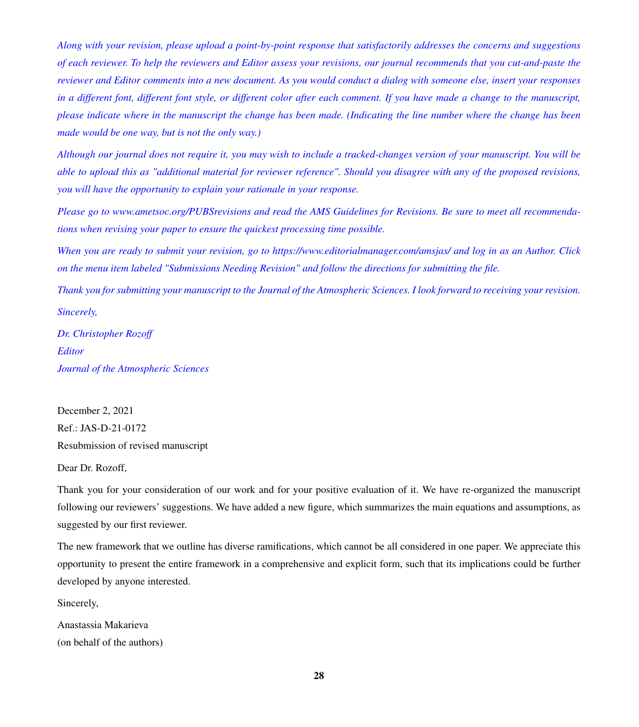*Along with your revision, please upload a point-by-point response that satisfactorily addresses the concerns and suggestions of each reviewer. To help the reviewers and Editor assess your revisions, our journal recommends that you cut-and-paste the reviewer and Editor comments into a new document. As you would conduct a dialog with someone else, insert your responses in a different font, different font style, or different color after each comment. If you have made a change to the manuscript, please indicate where in the manuscript the change has been made. (Indicating the line number where the change has been made would be one way, but is not the only way.)*

*Although our journal does not require it, you may wish to include a tracked-changes version of your manuscript. You will be able to upload this as "additional material for reviewer reference". Should you disagree with any of the proposed revisions, you will have the opportunity to explain your rationale in your response.*

*Please go to www.ametsoc.org/PUBSrevisions and read the AMS Guidelines for Revisions. Be sure to meet all recommendations when revising your paper to ensure the quickest processing time possible.*

*When you are ready to submit your revision, go to https://www.editorialmanager.com/amsjas/ and log in as an Author. Click on the menu item labeled "Submissions Needing Revision" and follow the directions for submitting the file.*

*Thank you for submitting your manuscript to the Journal of the Atmospheric Sciences. I look forward to receiving your revision. Sincerely,*

*Dr. Christopher Rozoff Editor Journal of the Atmospheric Sciences*

December 2, 2021 Ref.: JAS-D-21-0172 Resubmission of revised manuscript

Dear Dr. Rozoff,

Thank you for your consideration of our work and for your positive evaluation of it. We have re-organized the manuscript following our reviewers' suggestions. We have added a new figure, which summarizes the main equations and assumptions, as suggested by our first reviewer.

The new framework that we outline has diverse ramifications, which cannot be all considered in one paper. We appreciate this opportunity to present the entire framework in a comprehensive and explicit form, such that its implications could be further developed by anyone interested.

Sincerely,

Anastassia Makarieva (on behalf of the authors)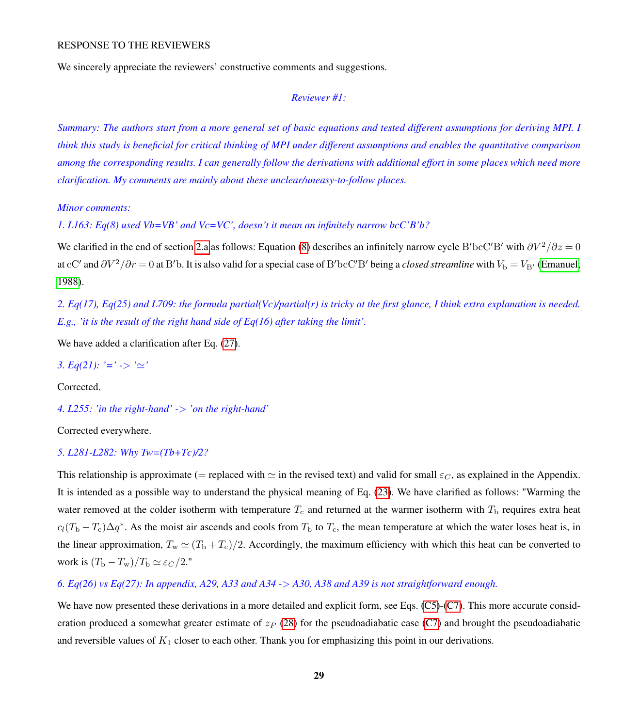We sincerely appreciate the reviewers' constructive comments and suggestions.

## *Reviewer #1:*

*Summary: The authors start from a more general set of basic equations and tested different assumptions for deriving MPI. I think this study is beneficial for critical thinking of MPI under different assumptions and enables the quantitative comparison among the corresponding results. I can generally follow the derivations with additional effort in some places which need more clarification. My comments are mainly about these unclear/uneasy-to-follow places.*

*Minor comments:*

*1. L163: Eq(8) used Vb=VB' and Vc=VC', doesn't it mean an infinitely narrow bcC'B'b?*

We clarified in the end of section [2.a](#page-3-3) as follows: Equation [\(8\)](#page-5-3) describes an infinitely narrow cycle B'bcC'B' with  $\partial V^2/\partial z = 0$ at cC' and  $\partial V^2/\partial r = 0$  at B'b. It is also valid for a special case of B'bcC'B' being a *closed streamline* with  $V_b = V_{B'}$  [\(Emanuel,](#page-32-4) [1988\)](#page-32-4).

*2. Eq(17), Eq(25) and L709: the formula partial(Vc)/partial(r) is tricky at the first glance, I think extra explanation is needed. E.g., 'it is the result of the right hand side of Eq(16) after taking the limit'.*

We have added a clarification after Eq.  $(27)$ .

*3.* Eq(21): '=' -> ' $\approx$ '

Corrected.

*4. L255: 'in the right-hand' -*> *'on the right-hand'*

Corrected everywhere.

## *5. L281-L282: Why Tw=(Tb+Tc)/2?*

This relationship is approximate (= replaced with  $\simeq$  in the revised text) and valid for small  $\varepsilon_C$ , as explained in the Appendix. It is intended as a possible way to understand the physical meaning of Eq. [\(23\)](#page-9-0). We have clarified as follows: "Warming the water removed at the colder isotherm with temperature  $T_c$  and returned at the warmer isotherm with  $T_b$  requires extra heat  $c_l(T_b - T_c)\Delta q^*$ . As the moist air ascends and cools from  $T_b$  to  $T_c$ , the mean temperature at which the water loses heat is, in the linear approximation,  $T_w \simeq (T_b + T_c)/2$ . Accordingly, the maximum efficiency with which this heat can be converted to work is  $(T_{\rm b} - T_{\rm w})/T_{\rm b} \simeq \varepsilon_C / 2$ ."

*6. Eq(26) vs Eq(27): In appendix, A29, A33 and A34 -*> *A30, A38 and A39 is not straightforward enough.*

We have now presented these derivations in a more detailed and explicit form, see Eqs. [\(C5\)](#page-20-2)-[\(C7\)](#page-21-2). This more accurate consideration produced a somewhat greater estimate of  $z_P$  [\(28\)](#page-10-1) for the pseudoadiabatic case [\(C7\)](#page-21-2) and brought the pseudoadiabatic and reversible values of  $K_1$  closer to each other. Thank you for emphasizing this point in our derivations.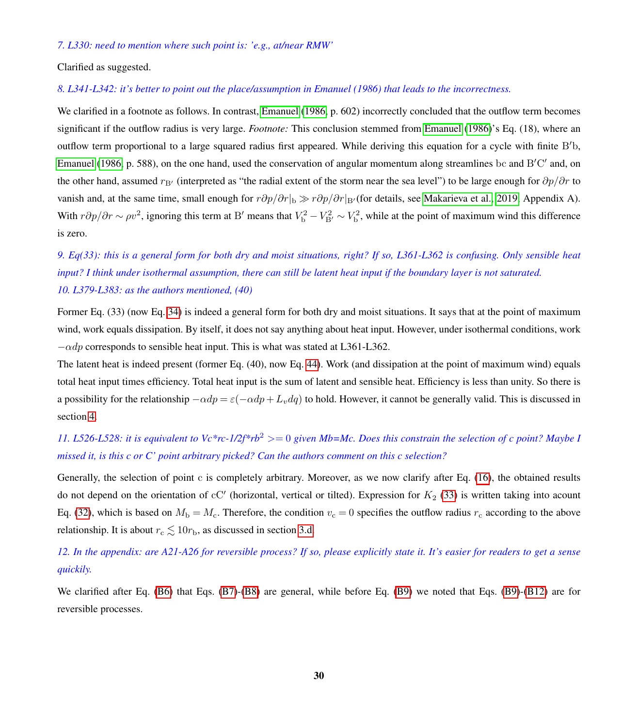#### *7. L330: need to mention where such point is: 'e.g., at/near RMW'*

Clarified as suggested.

## *8. L341-L342: it's better to point out the place/assumption in Emanuel (1986) that leads to the incorrectness.*

We clarified in a footnote as follows. In contrast, [Emanuel](#page-32-7) [\(1986,](#page-32-7) p. 602) incorrectly concluded that the outflow term becomes significant if the outflow radius is very large. *Footnote:* This conclusion stemmed from [Emanuel](#page-32-7) [\(1986\)](#page-32-7)'s Eq. (18), where an outflow term proportional to a large squared radius first appeared. While deriving this equation for a cycle with finite B'b, [Emanuel](#page-32-7) [\(1986,](#page-32-7) p. 588), on the one hand, used the conservation of angular momentum along streamlines bc and B'C' and, on the other hand, assumed  $r_{\rm B}$  (interpreted as "the radial extent of the storm near the sea level") to be large enough for  $\partial p/\partial r$  to vanish and, at the same time, small enough for  $r\partial p/\partial r|_b \gg r\partial p/\partial r|_{B'}$  (for details, see [Makarieva et al., 2019,](#page-33-6) Appendix A). With  $r\partial p/\partial r \sim \rho v^2$ , ignoring this term at B' means that  $V_{\rm b}^2 - V_{\rm B'}^2 \sim V_{\rm b}^2$ , while at the point of maximum wind this difference is zero.

## *9. Eq(33): this is a general form for both dry and moist situations, right? If so, L361-L362 is confusing. Only sensible heat input? I think under isothermal assumption, there can still be latent heat input if the boundary layer is not saturated. 10. L379-L383: as the authors mentioned, (40)*

Former Eq. (33) (now Eq. [34\)](#page-12-2) is indeed a general form for both dry and moist situations. It says that at the point of maximum wind, work equals dissipation. By itself, it does not say anything about heat input. However, under isothermal conditions, work  $-\alpha dp$  corresponds to sensible heat input. This is what was stated at L361-L362.

The latent heat is indeed present (former Eq. (40), now Eq. [44\)](#page-15-1). Work (and dissipation at the point of maximum wind) equals total heat input times efficiency. Total heat input is the sum of latent and sensible heat. Efficiency is less than unity. So there is a possibility for the relationship  $-\alpha dp = \varepsilon(-\alpha dp + L_v dq)$  to hold. However, it cannot be generally valid. This is discussed in section [4.](#page-14-0)

## *11. L526-L528: it is equivalent to Vc\*rc-1/2f\*rb*<sup>2</sup> >= 0 *given Mb=Mc. Does this constrain the selection of c point? Maybe I missed it, is this c or C' point arbitrary picked? Can the authors comment on this c selection?*

Generally, the selection of point c is completely arbitrary. Moreover, as we now clarify after Eq. [\(16\)](#page-7-0), the obtained results do not depend on the orientation of cC' (horizontal, vertical or tilted). Expression for  $K_2$  [\(33\)](#page-12-4) is written taking into acount Eq. [\(32\)](#page-12-0), which is based on  $M_b = M_c$ . Therefore, the condition  $v_c = 0$  specifies the outflow radius  $r_c$  according to the above relationship. It is about  $r_c \lesssim 10r_b$ , as discussed in section [3.d.](#page-11-2)

*12. In the appendix: are A21-A26 for reversible process? If so, please explicitly state it. It's easier for readers to get a sense quickily.*

We clarified after Eq. [\(B6\)](#page-20-1) that Eqs. [\(B7\)](#page-21-2)-[\(B8\)](#page-21-6) are general, while before Eq. [\(B9\)](#page-21-4) we noted that Eqs. (B9)-[\(B12\)](#page-21-5) are for reversible processes.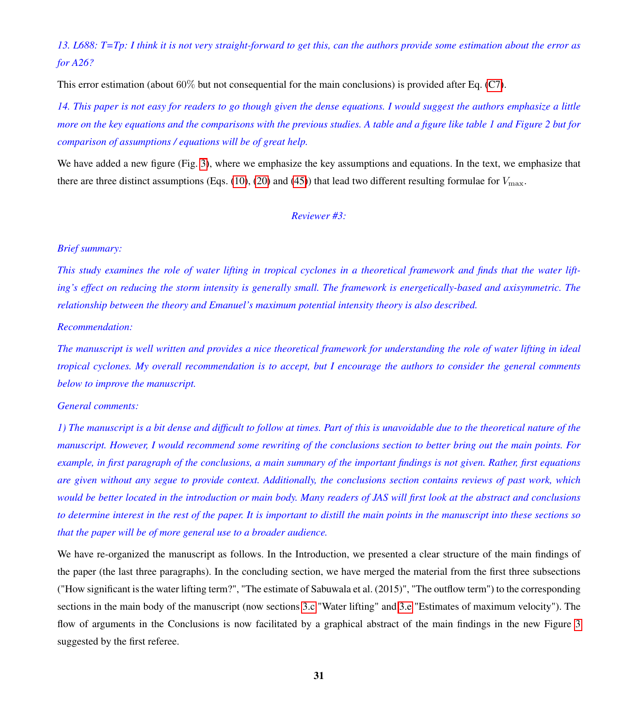## *13. L688: T=Tp: I think it is not very straight-forward to get this, can the authors provide some estimation about the error as for A26?*

This error estimation (about 60% but not consequential for the main conclusions) is provided after Eq. [\(C7\)](#page-21-2).

*14. This paper is not easy for readers to go though given the dense equations. I would suggest the authors emphasize a little more on the key equations and the comparisons with the previous studies. A table and a figure like table 1 and Figure 2 but for comparison of assumptions / equations will be of great help.*

We have added a new figure (Fig. [3\)](#page-17-0), where we emphasize the key assumptions and equations. In the text, we emphasize that there are three distinct assumptions (Eqs. [\(10\)](#page-6-4), [\(20\)](#page-8-1) and [\(45\)](#page-15-3)) that lead two different resulting formulae for  $V_{\text{max}}$ .

## *Reviewer #3:*

## *Brief summary:*

*This study examines the role of water lifting in tropical cyclones in a theoretical framework and finds that the water lifting's effect on reducing the storm intensity is generally small. The framework is energetically-based and axisymmetric. The relationship between the theory and Emanuel's maximum potential intensity theory is also described.*

#### *Recommendation:*

*The manuscript is well written and provides a nice theoretical framework for understanding the role of water lifting in ideal tropical cyclones. My overall recommendation is to accept, but I encourage the authors to consider the general comments below to improve the manuscript.*

#### *General comments:*

*1) The manuscript is a bit dense and difficult to follow at times. Part of this is unavoidable due to the theoretical nature of the manuscript. However, I would recommend some rewriting of the conclusions section to better bring out the main points. For example, in first paragraph of the conclusions, a main summary of the important findings is not given. Rather, first equations are given without any segue to provide context. Additionally, the conclusions section contains reviews of past work, which would be better located in the introduction or main body. Many readers of JAS will first look at the abstract and conclusions to determine interest in the rest of the paper. It is important to distill the main points in the manuscript into these sections so that the paper will be of more general use to a broader audience.*

We have re-organized the manuscript as follows. In the Introduction, we presented a clear structure of the main findings of the paper (the last three paragraphs). In the concluding section, we have merged the material from the first three subsections ("How significant is the water lifting term?", "The estimate of Sabuwala et al. (2015)", "The outflow term") to the corresponding sections in the main body of the manuscript (now sections [3.c](#page-10-4) "Water lifting" and [3.e](#page-12-6) "Estimates of maximum velocity"). The flow of arguments in the Conclusions is now facilitated by a graphical abstract of the main findings in the new Figure [3](#page-17-0) suggested by the first referee.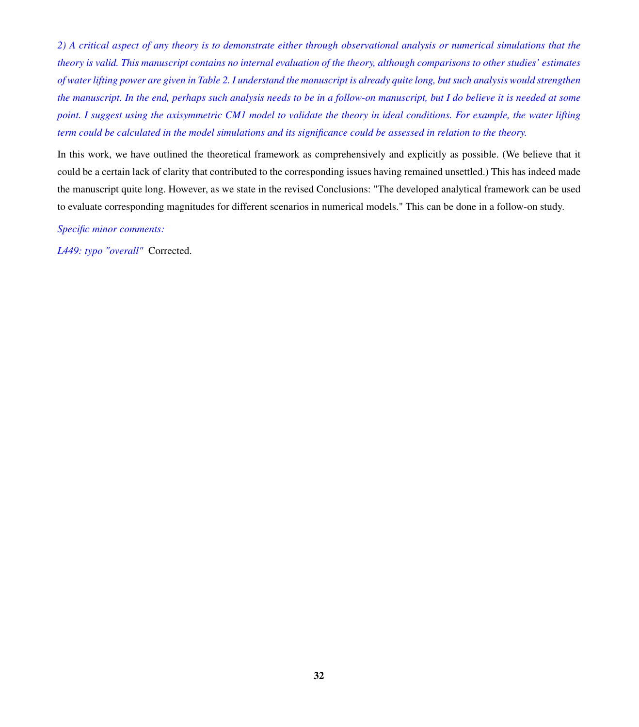*2) A critical aspect of any theory is to demonstrate either through observational analysis or numerical simulations that the theory is valid. This manuscript contains no internal evaluation of the theory, although comparisons to other studies' estimates of water lifting power are given in Table 2. I understand the manuscript is already quite long, but such analysis would strengthen the manuscript. In the end, perhaps such analysis needs to be in a follow-on manuscript, but I do believe it is needed at some point. I suggest using the axisymmetric CM1 model to validate the theory in ideal conditions. For example, the water lifting term could be calculated in the model simulations and its significance could be assessed in relation to the theory.*

In this work, we have outlined the theoretical framework as comprehensively and explicitly as possible. (We believe that it could be a certain lack of clarity that contributed to the corresponding issues having remained unsettled.) This has indeed made the manuscript quite long. However, as we state in the revised Conclusions: "The developed analytical framework can be used to evaluate corresponding magnitudes for different scenarios in numerical models." This can be done in a follow-on study.

*Specific minor comments:*

*L449: typo "overall"* Corrected.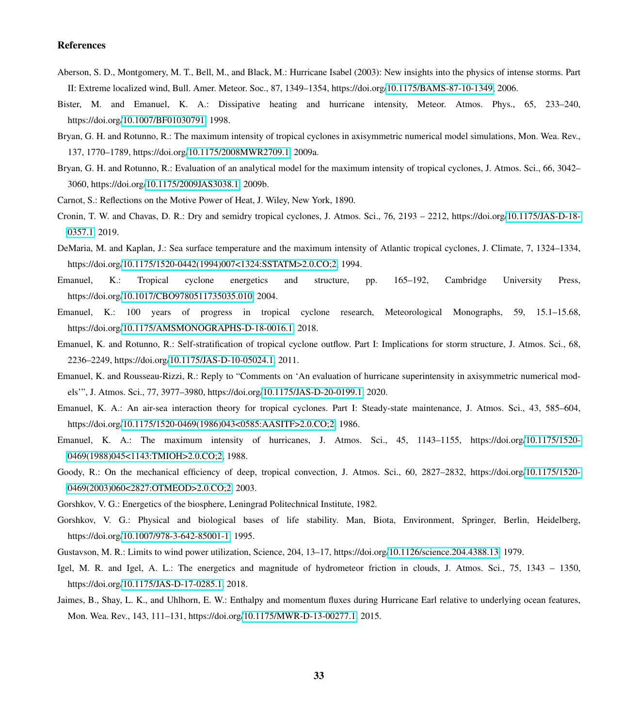#### References

- <span id="page-32-18"></span>Aberson, S. D., Montgomery, M. T., Bell, M., and Black, M.: Hurricane Isabel (2003): New insights into the physics of intense storms. Part II: Extreme localized wind, Bull. Amer. Meteor. Soc., 87, 1349–1354, https://doi.org[/10.1175/BAMS-87-10-1349,](https://doi.org/10.1175/BAMS-87-10-1349) 2006.
- <span id="page-32-10"></span>Bister, M. and Emanuel, K. A.: Dissipative heating and hurricane intensity, Meteor. Atmos. Phys., 65, 233–240, https://doi.org[/10.1007/BF01030791,](https://doi.org/10.1007/BF01030791) 1998.
- <span id="page-32-11"></span>Bryan, G. H. and Rotunno, R.: The maximum intensity of tropical cyclones in axisymmetric numerical model simulations, Mon. Wea. Rev., 137, 1770–1789, https://doi.org[/10.1175/2008MWR2709.1,](https://doi.org/10.1175/2008MWR2709.1) 2009a.
- <span id="page-32-9"></span>Bryan, G. H. and Rotunno, R.: Evaluation of an analytical model for the maximum intensity of tropical cyclones, J. Atmos. Sci., 66, 3042– 3060, https://doi.org[/10.1175/2009JAS3038.1,](https://doi.org/10.1175/2009JAS3038.1) 2009b.
- <span id="page-32-15"></span><span id="page-32-12"></span>Carnot, S.: Reflections on the Motive Power of Heat, J. Wiley, New York, 1890.
- Cronin, T. W. and Chavas, D. R.: Dry and semidry tropical cyclones, J. Atmos. Sci., 76, 2193 2212, https://doi.org[/10.1175/JAS-D-18-](https://doi.org/10.1175/JAS-D-18-0357.1) [0357.1,](https://doi.org/10.1175/JAS-D-18-0357.1) 2019.
- <span id="page-32-17"></span>DeMaria, M. and Kaplan, J.: Sea surface temperature and the maximum intensity of Atlantic tropical cyclones, J. Climate, 7, 1324–1334, https://doi.org[/10.1175/1520-0442\(1994\)007<1324:SSTATM>2.0.CO;2,](https://doi.org/10.1175/1520-0442(1994)007%3C1324:SSTATM%3E2.0.CO;2) 1994.
- <span id="page-32-8"></span>Emanuel, K.: Tropical cyclone energetics and structure, pp. 165–192, Cambridge University Press, https://doi.org[/10.1017/CBO9780511735035.010,](https://doi.org/10.1017/CBO9780511735035.010) 2004.
- <span id="page-32-5"></span>Emanuel, K.: 100 years of progress in tropical cyclone research, Meteorological Monographs, 59, 15.1–15.68, https://doi.org[/10.1175/AMSMONOGRAPHS-D-18-0016.1,](https://doi.org/10.1175/AMSMONOGRAPHS-D-18-0016.1) 2018.
- <span id="page-32-6"></span>Emanuel, K. and Rotunno, R.: Self-stratification of tropical cyclone outflow. Part I: Implications for storm structure, J. Atmos. Sci., 68, 2236–2249, https://doi.org[/10.1175/JAS-D-10-05024.1,](https://doi.org/10.1175/JAS-D-10-05024.1) 2011.
- <span id="page-32-0"></span>Emanuel, K. and Rousseau-Rizzi, R.: Reply to "Comments on 'An evaluation of hurricane superintensity in axisymmetric numerical models'", J. Atmos. Sci., 77, 3977–3980, https://doi.org[/10.1175/JAS-D-20-0199.1,](https://doi.org/10.1175/JAS-D-20-0199.1) 2020.
- <span id="page-32-7"></span>Emanuel, K. A.: An air-sea interaction theory for tropical cyclones. Part I: Steady-state maintenance, J. Atmos. Sci., 43, 585–604, https://doi.org[/10.1175/1520-0469\(1986\)043<0585:AASITF>2.0.CO;2,](https://doi.org/10.1175/1520-0469(1986)043%3C0585:AASITF%3E2.0.CO;2) 1986.
- <span id="page-32-4"></span>Emanuel, K. A.: The maximum intensity of hurricanes, J. Atmos. Sci., 45, 1143–1155, https://doi.org[/10.1175/1520-](https://doi.org/10.1175/1520-0469(1988)045%3C1143:TMIOH%3E2.0.CO;2) [0469\(1988\)045<1143:TMIOH>2.0.CO;2,](https://doi.org/10.1175/1520-0469(1988)045%3C1143:TMIOH%3E2.0.CO;2) 1988.
- <span id="page-32-16"></span>Goody, R.: On the mechanical efficiency of deep, tropical convection, J. Atmos. Sci., 60, 2827–2832, https://doi.org[/10.1175/1520-](https://doi.org/10.1175/1520-0469(2003)060%3C2827:OTMEOD%3E2.0.CO;2) [0469\(2003\)060<2827:OTMEOD>2.0.CO;2,](https://doi.org/10.1175/1520-0469(2003)060%3C2827:OTMEOD%3E2.0.CO;2) 2003.
- <span id="page-32-2"></span><span id="page-32-1"></span>Gorshkov, V. G.: Energetics of the biosphere, Leningrad Politechnical Institute, 1982.
- Gorshkov, V. G.: Physical and biological bases of life stability. Man, Biota, Environment, Springer, Berlin, Heidelberg, https://doi.org[/10.1007/978-3-642-85001-1,](https://doi.org/10.1007/978-3-642-85001-1) 1995.
- <span id="page-32-13"></span><span id="page-32-3"></span>Gustavson, M. R.: Limits to wind power utilization, Science, 204, 13–17, https://doi.org[/10.1126/science.204.4388.13,](https://doi.org/10.1126/science.204.4388.13) 1979.
- Igel, M. R. and Igel, A. L.: The energetics and magnitude of hydrometeor friction in clouds, J. Atmos. Sci., 75, 1343 1350, https://doi.org[/10.1175/JAS-D-17-0285.1,](https://doi.org/10.1175/JAS-D-17-0285.1) 2018.
- <span id="page-32-14"></span>Jaimes, B., Shay, L. K., and Uhlhorn, E. W.: Enthalpy and momentum fluxes during Hurricane Earl relative to underlying ocean features, Mon. Wea. Rev., 143, 111–131, https://doi.org[/10.1175/MWR-D-13-00277.1,](https://doi.org/10.1175/MWR-D-13-00277.1) 2015.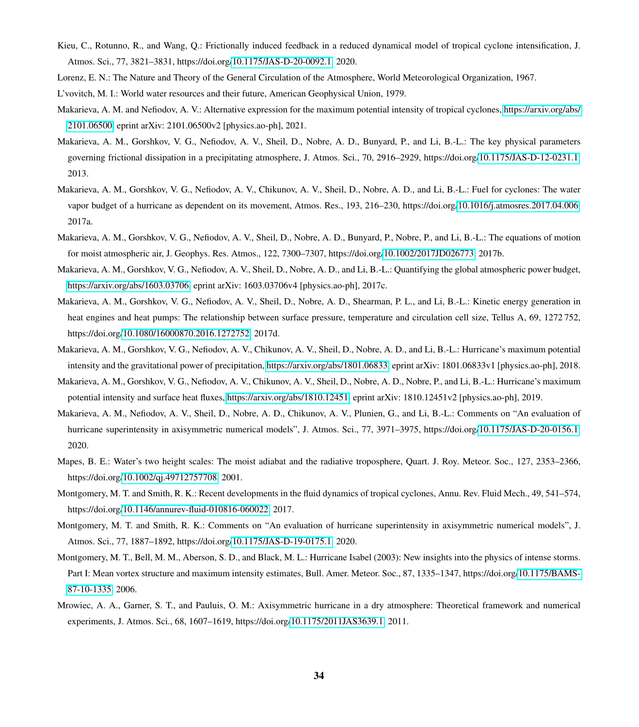- <span id="page-33-13"></span>Kieu, C., Rotunno, R., and Wang, Q.: Frictionally induced feedback in a reduced dynamical model of tropical cyclone intensification, J. Atmos. Sci., 77, 3821–3831, https://doi.org[/10.1175/JAS-D-20-0092.1,](https://doi.org/10.1175/JAS-D-20-0092.1) 2020.
- <span id="page-33-15"></span><span id="page-33-3"></span>Lorenz, E. N.: The Nature and Theory of the General Circulation of the Atmosphere, World Meteorological Organization, 1967.
- <span id="page-33-7"></span>L'vovitch, M. I.: World water resources and their future, American Geophysical Union, 1979.
- Makarieva, A. M. and Nefiodov, A. V.: Alternative expression for the maximum potential intensity of tropical cyclones, [https://arxiv.org/abs/](https://arxiv.org/abs/2101.06500) [2101.06500,](https://arxiv.org/abs/2101.06500) eprint arXiv: 2101.06500v2 [physics.ao-ph], 2021.
- <span id="page-33-1"></span>Makarieva, A. M., Gorshkov, V. G., Nefiodov, A. V., Sheil, D., Nobre, A. D., Bunyard, P., and Li, B.-L.: The key physical parameters governing frictional dissipation in a precipitating atmosphere, J. Atmos. Sci., 70, 2916–2929, https://doi.org[/10.1175/JAS-D-12-0231.1,](https://doi.org/10.1175/JAS-D-12-0231.1) 2013.
- <span id="page-33-10"></span>Makarieva, A. M., Gorshkov, V. G., Nefiodov, A. V., Chikunov, A. V., Sheil, D., Nobre, A. D., and Li, B.-L.: Fuel for cyclones: The water vapor budget of a hurricane as dependent on its movement, Atmos. Res., 193, 216–230, https://doi.org[/10.1016/j.atmosres.2017.04.006,](https://doi.org/10.1016/j.atmosres.2017.04.006) 2017a.
- <span id="page-33-9"></span>Makarieva, A. M., Gorshkov, V. G., Nefiodov, A. V., Sheil, D., Nobre, A. D., Bunyard, P., Nobre, P., and Li, B.-L.: The equations of motion for moist atmospheric air, J. Geophys. Res. Atmos., 122, 7300–7307, https://doi.org[/10.1002/2017JD026773,](https://doi.org/10.1002/2017JD026773) 2017b.
- <span id="page-33-2"></span>Makarieva, A. M., Gorshkov, V. G., Nefiodov, A. V., Sheil, D., Nobre, A. D., and Li, B.-L.: Quantifying the global atmospheric power budget, [https://arxiv.org/abs/1603.03706,](https://arxiv.org/abs/1603.03706) eprint arXiv: 1603.03706v4 [physics.ao-ph], 2017c.
- <span id="page-33-12"></span>Makarieva, A. M., Gorshkov, V. G., Nefiodov, A. V., Sheil, D., Nobre, A. D., Shearman, P. L., and Li, B.-L.: Kinetic energy generation in heat engines and heat pumps: The relationship between surface pressure, temperature and circulation cell size, Tellus A, 69, 1272 752, https://doi.org[/10.1080/16000870.2016.1272752,](https://doi.org/10.1080/16000870.2016.1272752) 2017d.
- <span id="page-33-4"></span>Makarieva, A. M., Gorshkov, V. G., Nefiodov, A. V., Chikunov, A. V., Sheil, D., Nobre, A. D., and Li, B.-L.: Hurricane's maximum potential intensity and the gravitational power of precipitation, [https://arxiv.org/abs/1801.06833,](https://arxiv.org/abs/1801.06833) eprint arXiv: 1801.06833v1 [physics.ao-ph], 2018.
- <span id="page-33-6"></span>Makarieva, A. M., Gorshkov, V. G., Nefiodov, A. V., Chikunov, A. V., Sheil, D., Nobre, A. D., Nobre, P., and Li, B.-L.: Hurricane's maximum potential intensity and surface heat fluxes, [https://arxiv.org/abs/1810.12451,](https://arxiv.org/abs/1810.12451) eprint arXiv: 1810.12451v2 [physics.ao-ph], 2019.
- <span id="page-33-0"></span>Makarieva, A. M., Nefiodov, A. V., Sheil, D., Nobre, A. D., Chikunov, A. V., Plunien, G., and Li, B.-L.: Comments on "An evaluation of hurricane superintensity in axisymmetric numerical models", J. Atmos. Sci., 77, 3971–3975, https://doi.org[/10.1175/JAS-D-20-0156.1,](https://doi.org/10.1175/JAS-D-20-0156.1) 2020.
- <span id="page-33-16"></span>Mapes, B. E.: Water's two height scales: The moist adiabat and the radiative troposphere, Quart. J. Roy. Meteor. Soc., 127, 2353–2366, https://doi.org[/10.1002/qj.49712757708,](https://doi.org/10.1002/qj.49712757708) 2001.
- <span id="page-33-8"></span>Montgomery, M. T. and Smith, R. K.: Recent developments in the fluid dynamics of tropical cyclones, Annu. Rev. Fluid Mech., 49, 541–574, https://doi.org[/10.1146/annurev-fluid-010816-060022,](https://doi.org/10.1146/annurev-fluid-010816-060022) 2017.
- <span id="page-33-5"></span>Montgomery, M. T. and Smith, R. K.: Comments on "An evaluation of hurricane superintensity in axisymmetric numerical models", J. Atmos. Sci., 77, 1887–1892, https://doi.org[/10.1175/JAS-D-19-0175.1,](https://doi.org/10.1175/JAS-D-19-0175.1) 2020.
- <span id="page-33-14"></span>Montgomery, M. T., Bell, M. M., Aberson, S. D., and Black, M. L.: Hurricane Isabel (2003): New insights into the physics of intense storms. Part I: Mean vortex structure and maximum intensity estimates, Bull. Amer. Meteor. Soc., 87, 1335–1347, https://doi.org[/10.1175/BAMS-](https://doi.org/10.1175/BAMS-87-10-1335)[87-10-1335,](https://doi.org/10.1175/BAMS-87-10-1335) 2006.
- <span id="page-33-11"></span>Mrowiec, A. A., Garner, S. T., and Pauluis, O. M.: Axisymmetric hurricane in a dry atmosphere: Theoretical framework and numerical experiments, J. Atmos. Sci., 68, 1607–1619, https://doi.org[/10.1175/2011JAS3639.1,](https://doi.org/10.1175/2011JAS3639.1) 2011.